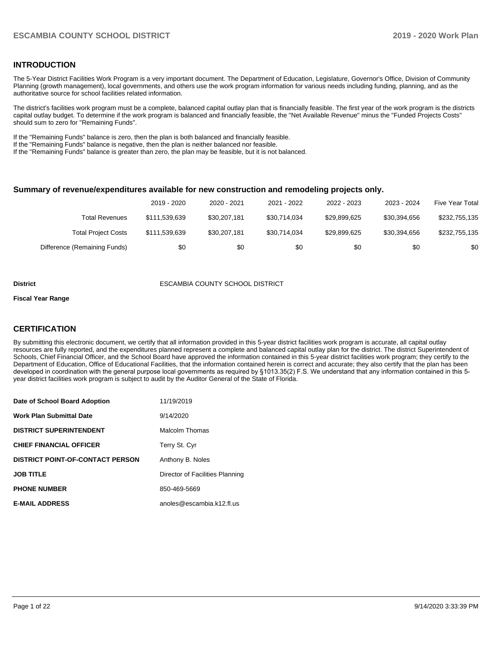## **INTRODUCTION**

The 5-Year District Facilities Work Program is a very important document. The Department of Education, Legislature, Governor's Office, Division of Community Planning (growth management), local governments, and others use the work program information for various needs including funding, planning, and as the authoritative source for school facilities related information.

The district's facilities work program must be a complete, balanced capital outlay plan that is financially feasible. The first year of the work program is the districts capital outlay budget. To determine if the work program is balanced and financially feasible, the "Net Available Revenue" minus the "Funded Projects Costs" should sum to zero for "Remaining Funds".

If the "Remaining Funds" balance is zero, then the plan is both balanced and financially feasible.

If the "Remaining Funds" balance is negative, then the plan is neither balanced nor feasible.

If the "Remaining Funds" balance is greater than zero, the plan may be feasible, but it is not balanced.

#### **Summary of revenue/expenditures available for new construction and remodeling projects only.**

|                              | 2019 - 2020   | 2020 - 2021  | 2021 - 2022  | 2022 - 2023  | 2023 - 2024  | <b>Five Year Total</b> |
|------------------------------|---------------|--------------|--------------|--------------|--------------|------------------------|
| Total Revenues               | \$111.539.639 | \$30.207.181 | \$30.714.034 | \$29,899,625 | \$30.394.656 | \$232,755,135          |
| <b>Total Project Costs</b>   | \$111.539.639 | \$30.207.181 | \$30.714.034 | \$29,899,625 | \$30.394.656 | \$232,755,135          |
| Difference (Remaining Funds) | \$0           | \$0          | \$0          | \$0          | \$0          | \$0                    |

#### **District** ESCAMBIA COUNTY SCHOOL DISTRICT

#### **Fiscal Year Range**

## **CERTIFICATION**

By submitting this electronic document, we certify that all information provided in this 5-year district facilities work program is accurate, all capital outlay resources are fully reported, and the expenditures planned represent a complete and balanced capital outlay plan for the district. The district Superintendent of Schools, Chief Financial Officer, and the School Board have approved the information contained in this 5-year district facilities work program; they certify to the Department of Education, Office of Educational Facilities, that the information contained herein is correct and accurate; they also certify that the plan has been developed in coordination with the general purpose local governments as required by §1013.35(2) F.S. We understand that any information contained in this 5 year district facilities work program is subject to audit by the Auditor General of the State of Florida.

| Date of School Board Adoption           | 11/19/2019                      |
|-----------------------------------------|---------------------------------|
| Work Plan Submittal Date                | 9/14/2020                       |
| <b>DISTRICT SUPERINTENDENT</b>          | Malcolm Thomas                  |
| <b>CHIEF FINANCIAL OFFICER</b>          | Terry St. Cyr                   |
| <b>DISTRICT POINT-OF-CONTACT PERSON</b> | Anthony B. Noles                |
| <b>JOB TITLE</b>                        | Director of Facilities Planning |
| <b>PHONE NUMBER</b>                     | 850-469-5669                    |
| <b>E-MAIL ADDRESS</b>                   | anoles@escambia.k12.fl.us       |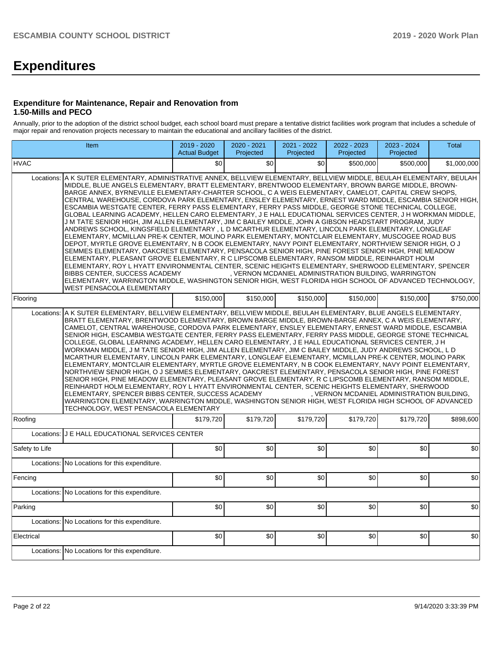# **Expenditures**

### **Expenditure for Maintenance, Repair and Renovation from 1.50-Mills and PECO**

Annually, prior to the adoption of the district school budget, each school board must prepare a tentative district facilities work program that includes a schedule of major repair and renovation projects necessary to maintain the educational and ancillary facilities of the district.

| Item                                                                                                                                                                                                                                                                                                                                                                                                                                                                                                                                                                                                                                                                                                                                                                                                                                                                                                                                                                                                                                                                                                                                                                                                                                                                                                                                                                                                                                                                                                                                                                                                                                                        | 2019 - 2020<br><b>Actual Budget</b> | 2020 - 2021<br>Projected | 2021 - 2022<br>Projected | 2022 - 2023<br>Projected | 2023 - 2024<br>Projected | <b>Total</b> |  |  |  |
|-------------------------------------------------------------------------------------------------------------------------------------------------------------------------------------------------------------------------------------------------------------------------------------------------------------------------------------------------------------------------------------------------------------------------------------------------------------------------------------------------------------------------------------------------------------------------------------------------------------------------------------------------------------------------------------------------------------------------------------------------------------------------------------------------------------------------------------------------------------------------------------------------------------------------------------------------------------------------------------------------------------------------------------------------------------------------------------------------------------------------------------------------------------------------------------------------------------------------------------------------------------------------------------------------------------------------------------------------------------------------------------------------------------------------------------------------------------------------------------------------------------------------------------------------------------------------------------------------------------------------------------------------------------|-------------------------------------|--------------------------|--------------------------|--------------------------|--------------------------|--------------|--|--|--|
| <b>HVAC</b>                                                                                                                                                                                                                                                                                                                                                                                                                                                                                                                                                                                                                                                                                                                                                                                                                                                                                                                                                                                                                                                                                                                                                                                                                                                                                                                                                                                                                                                                                                                                                                                                                                                 | \$0                                 | \$0                      | \$0                      | \$500,000                | \$500,000                | \$1,000,000  |  |  |  |
| A K SUTER ELEMENTARY, ADMINISTRATIVE ANNEX, BELLVIEW ELEMENTARY, BELLVIEW MIDDLE, BEULAH ELEMENTARY, BEULAH<br>Locations:<br>MIDDLE, BLUE ANGELS ELEMENTARY, BRATT ELEMENTARY, BRENTWOOD ELEMENTARY, BROWN BARGE MIDDLE, BROWN-<br>BARGE ANNEX, BYRNEVILLE ELEMENTARY-CHARTER SCHOOL, C A WEIS ELEMENTARY, CAMELOT, CAPITAL CREW SHOPS,<br>CENTRAL WAREHOUSE, CORDOVA PARK ELEMENTARY, ENSLEY ELEMENTARY, ERNEST WARD MIDDLE, ESCAMBIA SENIOR HIGH,<br>ESCAMBIA WESTGATE CENTER, FERRY PASS ELEMENTARY, FERRY PASS MIDDLE, GEORGE STONE TECHNICAL COLLEGE,<br>GLOBAL LEARNING ACADEMY, HELLEN CARO ELEMENTARY, J E HALL EDUCATIONAL SERVICES CENTER, J H WORKMAN MIDDLE,<br>J M TATE SENIOR HIGH, JIM ALLEN ELEMENTARY, JIM C BAILEY MIDDLE, JOHN A GIBSON HEADSTART PROGRAM, JUDY<br>ANDREWS SCHOOL, KINGSFIELD ELEMENTARY , L D MCARTHUR ELEMENTARY, LINCOLN PARK ELEMENTARY, LONGLEAF<br>ELEMENTARY, MCMILLAN PRE-K CENTER, MOLINO PARK ELEMENTARY, MONTCLAIR ELEMENTARY, MUSCOGEE ROAD BUS<br>DEPOT, MYRTLE GROVE ELEMENTARY, N B COOK ELEMENTARY, NAVY POINT ELEMENTARY, NORTHVIEW SENIOR HIGH, O J<br>SEMMES ELEMENTARY, OAKCREST ELEMENTARY, PENSACOLA SENIOR HIGH, PINE FOREST SENIOR HIGH, PINE MEADOW<br>ELEMENTARY, PLEASANT GROVE ELEMENTARY, R C LIPSCOMB ELEMENTARY, RANSOM MIDDLE, REINHARDT HOLM<br>ELEMENTARY, ROY L HYATT ENVIRONMENTAL CENTER, SCENIC HEIGHTS ELEMENTARY, SHERWOOD ELEMENTARY, SPENCER<br>, VERNON MCDANIEL ADMINISTRATION BUILDING, WARRINGTON<br>BIBBS CENTER, SUCCESS ACADEMY<br>ELEMENTARY, WARRINGTON MIDDLE, WASHINGTON SENIOR HIGH, WEST FLORIDA HIGH SCHOOL OF ADVANCED TECHNOLOGY,<br>WEST PENSACOLA ELEMENTARY |                                     |                          |                          |                          |                          |              |  |  |  |
| Flooring                                                                                                                                                                                                                                                                                                                                                                                                                                                                                                                                                                                                                                                                                                                                                                                                                                                                                                                                                                                                                                                                                                                                                                                                                                                                                                                                                                                                                                                                                                                                                                                                                                                    | \$150,000                           | \$150,000                | \$150,000                | \$150,000                | \$150,000                | \$750,000    |  |  |  |
| A K SUTER ELEMENTARY, BELLVIEW ELEMENTARY, BELLVIEW MIDDLE, BEULAH ELEMENTARY, BLUE ANGELS ELEMENTARY,<br>Locations:<br>BRATT ELEMENTARY, BRENTWOOD ELEMENTARY, BROWN BARGE MIDDLE, BROWN-BARGE ANNEX, C A WEIS ELEMENTARY,<br>CAMELOT, CENTRAL WAREHOUSE, CORDOVA PARK ELEMENTARY, ENSLEY ELEMENTARY, ERNEST WARD MIDDLE, ESCAMBIA<br>SENIOR HIGH, ESCAMBIA WESTGATE CENTER, FERRY PASS ELEMENTARY, FERRY PASS MIDDLE, GEORGE STONE TECHNICAL<br>COLLEGE, GLOBAL LEARNING ACADEMY, HELLEN CARO ELEMENTARY, J E HALL EDUCATIONAL SERVICES CENTER, J H<br>WORKMAN MIDDLE, J M TATE SENIOR HIGH, JIM ALLEN ELEMENTARY, JIM C BAILEY MIDDLE, JUDY ANDREWS SCHOOL, L D<br>MCARTHUR ELEMENTARY, LINCOLN PARK ELEMENTARY, LONGLEAF ELEMENTARY, MCMILLAN PRE-K CENTER, MOLINO PARK<br>ELEMENTARY, MONTCLAIR ELEMENTARY, MYRTLE GROVE ELEMENTARY, N B COOK ELEMENTARY, NAVY POINT ELEMENTARY,<br>NORTHVIEW SENIOR HIGH, O J SEMMES ELEMENTARY, OAKCREST ELEMENTARY, PENSACOLA SENIOR HIGH, PINE FOREST<br>SENIOR HIGH, PINE MEADOW ELEMENTARY, PLEASANT GROVE ELEMENTARY, R C LIPSCOMB ELEMENTARY, RANSOM MIDDLE,<br>REINHARDT HOLM ELEMENTARY, ROY L HYATT ENVIRONMENTAL CENTER, SCENIC HEIGHTS ELEMENTARY, SHERWOOD<br>ELEMENTARY, SPENCER BIBBS CENTER, SUCCESS ACADEMY<br>, VERNON MCDANIEL ADMINISTRATION BUILDING,<br>WARRINGTON ELEMENTARY, WARRINGTON MIDDLE, WASHINGTON SENIOR HIGH, WEST FLORIDA HIGH SCHOOL OF ADVANCED<br>TECHNOLOGY, WEST PENSACOLA ELEMENTARY                                                                                                                                                                                         |                                     |                          |                          |                          |                          |              |  |  |  |
| Roofing                                                                                                                                                                                                                                                                                                                                                                                                                                                                                                                                                                                                                                                                                                                                                                                                                                                                                                                                                                                                                                                                                                                                                                                                                                                                                                                                                                                                                                                                                                                                                                                                                                                     | \$179.720                           | \$179,720                | \$179,720                | \$179,720                | \$179,720                | \$898,600    |  |  |  |
| J E HALL EDUCATIONAL SERVICES CENTER<br>Locations:                                                                                                                                                                                                                                                                                                                                                                                                                                                                                                                                                                                                                                                                                                                                                                                                                                                                                                                                                                                                                                                                                                                                                                                                                                                                                                                                                                                                                                                                                                                                                                                                          |                                     |                          |                          |                          |                          |              |  |  |  |
| Safety to Life                                                                                                                                                                                                                                                                                                                                                                                                                                                                                                                                                                                                                                                                                                                                                                                                                                                                                                                                                                                                                                                                                                                                                                                                                                                                                                                                                                                                                                                                                                                                                                                                                                              | \$0                                 | \$0                      | \$0                      | \$0                      | \$0                      | \$0          |  |  |  |
| No Locations for this expenditure.<br>Locations:                                                                                                                                                                                                                                                                                                                                                                                                                                                                                                                                                                                                                                                                                                                                                                                                                                                                                                                                                                                                                                                                                                                                                                                                                                                                                                                                                                                                                                                                                                                                                                                                            |                                     |                          |                          |                          |                          |              |  |  |  |
| Fencing                                                                                                                                                                                                                                                                                                                                                                                                                                                                                                                                                                                                                                                                                                                                                                                                                                                                                                                                                                                                                                                                                                                                                                                                                                                                                                                                                                                                                                                                                                                                                                                                                                                     | \$0                                 | \$0                      | \$0                      | \$0                      | \$0                      | \$0          |  |  |  |
| No Locations for this expenditure.<br>Locations:                                                                                                                                                                                                                                                                                                                                                                                                                                                                                                                                                                                                                                                                                                                                                                                                                                                                                                                                                                                                                                                                                                                                                                                                                                                                                                                                                                                                                                                                                                                                                                                                            |                                     |                          |                          |                          |                          |              |  |  |  |
| Parking                                                                                                                                                                                                                                                                                                                                                                                                                                                                                                                                                                                                                                                                                                                                                                                                                                                                                                                                                                                                                                                                                                                                                                                                                                                                                                                                                                                                                                                                                                                                                                                                                                                     | \$0                                 | \$0                      | \$0                      | \$0                      | \$0                      | \$0          |  |  |  |
| No Locations for this expenditure.<br>Locations:                                                                                                                                                                                                                                                                                                                                                                                                                                                                                                                                                                                                                                                                                                                                                                                                                                                                                                                                                                                                                                                                                                                                                                                                                                                                                                                                                                                                                                                                                                                                                                                                            |                                     |                          |                          |                          |                          |              |  |  |  |
| Electrical                                                                                                                                                                                                                                                                                                                                                                                                                                                                                                                                                                                                                                                                                                                                                                                                                                                                                                                                                                                                                                                                                                                                                                                                                                                                                                                                                                                                                                                                                                                                                                                                                                                  | \$0                                 | \$0                      | \$0                      | \$0                      | \$0                      | \$0          |  |  |  |
| Locations:<br>No Locations for this expenditure.                                                                                                                                                                                                                                                                                                                                                                                                                                                                                                                                                                                                                                                                                                                                                                                                                                                                                                                                                                                                                                                                                                                                                                                                                                                                                                                                                                                                                                                                                                                                                                                                            |                                     |                          |                          |                          |                          |              |  |  |  |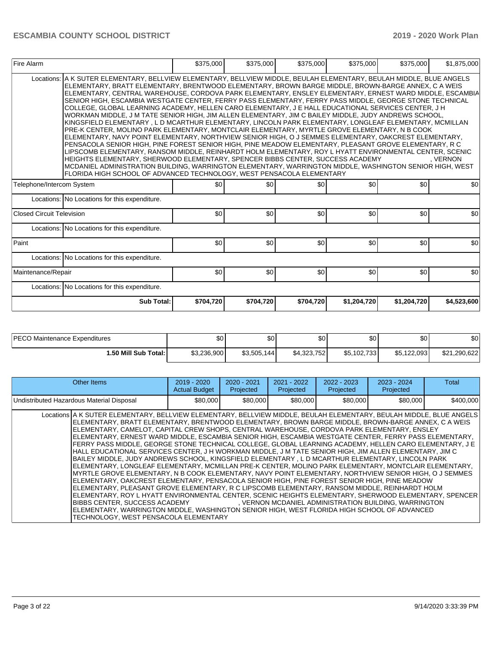| Fire Alarm                |                                                                                                                                                                                                                                                                                                                                                                                                                                                                                                                                                                                                                                                                                                                                                                                                                                                                                                                                                                                                                                                                                                                                                                                                                                                                                                                                                                                                                                                                                    |           | \$375,000 | \$375,000 | \$375,000   | \$375,000   | \$1,875,000 |
|---------------------------|------------------------------------------------------------------------------------------------------------------------------------------------------------------------------------------------------------------------------------------------------------------------------------------------------------------------------------------------------------------------------------------------------------------------------------------------------------------------------------------------------------------------------------------------------------------------------------------------------------------------------------------------------------------------------------------------------------------------------------------------------------------------------------------------------------------------------------------------------------------------------------------------------------------------------------------------------------------------------------------------------------------------------------------------------------------------------------------------------------------------------------------------------------------------------------------------------------------------------------------------------------------------------------------------------------------------------------------------------------------------------------------------------------------------------------------------------------------------------------|-----------|-----------|-----------|-------------|-------------|-------------|
|                           | Locations:   A K SUTER ELEMENTARY, BELLVIEW ELEMENTARY, BELLVIEW MIDDLE, BEULAH ELEMENTARY, BEULAH MIDDLE, BLUE ANGELS<br>ELEMENTARY, BRATT ELEMENTARY, BRENTWOOD ELEMENTARY, BROWN BARGE MIDDLE, BROWN-BARGE ANNEX, C A WEIS<br>ELEMENTARY, CENTRAL WAREHOUSE, CORDOVA PARK ELEMENTARY, ENSLEY ELEMENTARY, ERNEST WARD MIDDLE, ESCAMBIA<br>SENIOR HIGH, ESCAMBIA WESTGATE CENTER, FERRY PASS ELEMENTARY, FERRY PASS MIDDLE, GEORGE STONE TECHNICAL<br>COLLEGE, GLOBAL LEARNING ACADEMY, HELLEN CARO ELEMENTARY, J E HALL EDUCATIONAL SERVICES CENTER, J H<br>WORKMAN MIDDLE, J M TATE SENIOR HIGH, JIM ALLEN ELEMENTARY, JIM C BAILEY MIDDLE, JUDY ANDREWS SCHOOL,<br>KINGSFIELD ELEMENTARY, L D MCARTHUR ELEMENTARY, LINCOLN PARK ELEMENTARY, LONGLEAF ELEMENTARY, MCMILLAN<br>PRE-K CENTER, MOLINO PARK ELEMENTARY, MONTCLAIR ELEMENTARY, MYRTLE GROVE ELEMENTARY, N B COOK<br>ELEMENTARY, NAVY POINT ELEMENTARY, NORTHVIEW SENIOR HIGH, O J SEMMES ELEMENTARY, OAKCREST ELEMENTARY,<br>PENSACOLA SENIOR HIGH, PINE FOREST SENIOR HIGH, PINE MEADOW ELEMENTARY, PLEASANT GROVE ELEMENTARY, RC<br>LIPSCOMB ELEMENTARY, RANSOM MIDDLE, REINHARDT HOLM ELEMENTARY, ROY L HYATT ENVIRONMENTAL CENTER, SCENIC<br>HEIGHTS ELEMENTARY, SHERWOOD ELEMENTARY, SPENCER BIBBS CENTER, SUCCESS ACADEMY<br>MCDANIEL ADMINISTRATION BUILDING, WARRINGTON ELEMENTARY, WARRINGTON MIDDLE, WASHINGTON SENIOR HIGH, WEST<br>FLORIDA HIGH SCHOOL OF ADVANCED TECHNOLOGY, WEST PENSACOLA ELEMENTARY |           |           |           |             |             | . VERNON    |
| Telephone/Intercom System |                                                                                                                                                                                                                                                                                                                                                                                                                                                                                                                                                                                                                                                                                                                                                                                                                                                                                                                                                                                                                                                                                                                                                                                                                                                                                                                                                                                                                                                                                    | \$0       | \$0       | \$0       | \$0         | \$0         | \$0         |
|                           | Locations: No Locations for this expenditure.                                                                                                                                                                                                                                                                                                                                                                                                                                                                                                                                                                                                                                                                                                                                                                                                                                                                                                                                                                                                                                                                                                                                                                                                                                                                                                                                                                                                                                      |           |           |           |             |             |             |
| Closed Circuit Television |                                                                                                                                                                                                                                                                                                                                                                                                                                                                                                                                                                                                                                                                                                                                                                                                                                                                                                                                                                                                                                                                                                                                                                                                                                                                                                                                                                                                                                                                                    | \$0       | \$0       | \$0       | \$0         | \$0         | \$0         |
|                           | Locations: No Locations for this expenditure.                                                                                                                                                                                                                                                                                                                                                                                                                                                                                                                                                                                                                                                                                                                                                                                                                                                                                                                                                                                                                                                                                                                                                                                                                                                                                                                                                                                                                                      |           |           |           |             |             |             |
| Paint                     |                                                                                                                                                                                                                                                                                                                                                                                                                                                                                                                                                                                                                                                                                                                                                                                                                                                                                                                                                                                                                                                                                                                                                                                                                                                                                                                                                                                                                                                                                    | \$0       | \$0       | \$0       | \$0         | \$0         | \$0         |
|                           | Locations: No Locations for this expenditure.                                                                                                                                                                                                                                                                                                                                                                                                                                                                                                                                                                                                                                                                                                                                                                                                                                                                                                                                                                                                                                                                                                                                                                                                                                                                                                                                                                                                                                      |           |           |           |             |             |             |
| Maintenance/Repair        |                                                                                                                                                                                                                                                                                                                                                                                                                                                                                                                                                                                                                                                                                                                                                                                                                                                                                                                                                                                                                                                                                                                                                                                                                                                                                                                                                                                                                                                                                    | \$0       | \$0       | \$0       | \$0         | \$0         | \$0         |
|                           | Locations: No Locations for this expenditure.                                                                                                                                                                                                                                                                                                                                                                                                                                                                                                                                                                                                                                                                                                                                                                                                                                                                                                                                                                                                                                                                                                                                                                                                                                                                                                                                                                                                                                      |           |           |           |             |             |             |
|                           | Sub Total:                                                                                                                                                                                                                                                                                                                                                                                                                                                                                                                                                                                                                                                                                                                                                                                                                                                                                                                                                                                                                                                                                                                                                                                                                                                                                                                                                                                                                                                                         | \$704,720 | \$704,720 | \$704,720 | \$1,204,720 | \$1,204,720 | \$4,523,600 |

| <b>PECO</b><br>) Maintenance Expenditures | Ψ∪          | ሖ<br>JU.         | ሶሳ<br>w     | \$0          | ሶስ<br>JU.          | \$0          |
|-------------------------------------------|-------------|------------------|-------------|--------------|--------------------|--------------|
| l.50 Mill Sub Total:                      | \$3,236,900 | \$3,505,1<br>144 | \$4,323,752 | \$5,102,733] | \$5,122,093<br>ፍ 5 | \$21,290,622 |

| Other Items                                                                                                                                                                                                                                                                                                                                                                                                                                                                                                                                                                                                                                                                                                                                                                                                                                                                                                                                                                                                                                                                                                                                                                                                                                                                                                                                                                                                                                                             | $2019 - 2020$<br><b>Actual Budget</b> | $2020 - 2021$<br>Projected | $2021 - 2022$<br>Projected | $2022 - 2023$<br>Projected | $2023 - 2024$<br>Projected                            | Total     |
|-------------------------------------------------------------------------------------------------------------------------------------------------------------------------------------------------------------------------------------------------------------------------------------------------------------------------------------------------------------------------------------------------------------------------------------------------------------------------------------------------------------------------------------------------------------------------------------------------------------------------------------------------------------------------------------------------------------------------------------------------------------------------------------------------------------------------------------------------------------------------------------------------------------------------------------------------------------------------------------------------------------------------------------------------------------------------------------------------------------------------------------------------------------------------------------------------------------------------------------------------------------------------------------------------------------------------------------------------------------------------------------------------------------------------------------------------------------------------|---------------------------------------|----------------------------|----------------------------|----------------------------|-------------------------------------------------------|-----------|
| Undistributed Hazardous Material Disposal                                                                                                                                                                                                                                                                                                                                                                                                                                                                                                                                                                                                                                                                                                                                                                                                                                                                                                                                                                                                                                                                                                                                                                                                                                                                                                                                                                                                                               | \$80,000                              | \$80,000                   | \$80,000                   | \$80,000                   | \$80,000                                              | \$400,000 |
| Locations A K SUTER ELEMENTARY, BELLVIEW ELEMENTARY, BELLVIEW MIDDLE, BEULAH ELEMENTARY, BEULAH MIDDLE, BLUE ANGELS<br>IELEMENTARY. BRATT ELEMENTARY. BRENTWOOD ELEMENTARY. BROWN BARGE MIDDLE. BROWN-BARGE ANNEX. C A WEIS<br>IELEMENTARY. CAMELOT. CAPITAL CREW SHOPS. CENTRAL WAREHOUSE. CORDOVA PARK ELEMENTARY. ENSLEY<br>ELEMENTARY, ERNEST WARD MIDDLE, ESCAMBIA SENIOR HIGH, ESCAMBIA WESTGATE CENTER, FERRY PASS ELEMENTARY,<br>FERRY PASS MIDDLE, GEORGE STONE TECHNICAL COLLEGE, GLOBAL LEARNING ACADEMY, HELLEN CARO ELEMENTARY, J E<br>HALL EDUCATIONAL SERVICES CENTER, J H WORKMAN MIDDLE, J M TATE SENIOR HIGH, JIM ALLEN ELEMENTARY, JIM C<br>BAILEY MIDDLE, JUDY ANDREWS SCHOOL, KINGSFIELD ELEMENTARY , L D MCARTHUR ELEMENTARY, LINCOLN PARK<br>ELEMENTARY, LONGLEAF ELEMENTARY, MCMILLAN PRE-K CENTER, MOLINO PARK ELEMENTARY, MONTCLAIR ELEMENTARY,<br>MYRTLE GROVE ELEMENTARY, N B COOK ELEMENTARY, NAVY POINT ELEMENTARY, NORTHVIEW SENIOR HIGH, O J SEMMES<br>IELEMENTARY. OAKCREST ELEMENTARY. PENSACOLA SENIOR HIGH. PINE FOREST SENIOR HIGH. PINE MEADOW<br>ELEMENTARY, PLEASANT GROVE ELEMENTARY, R C LIPSCOMB ELEMENTARY, RANSOM MIDDLE, REINHARDT HOLM<br>ELEMENTARY, ROY L HYATT ENVIRONMENTAL CENTER, SCENIC HEIGHTS ELEMENTARY, SHERWOOD ELEMENTARY, SPENCER<br>BIBBS CENTER. SUCCESS ACADEMY<br>ELEMENTARY, WARRINGTON MIDDLE, WASHINGTON SENIOR HIGH, WEST FLORIDA HIGH SCHOOL OF ADVANCED<br>TECHNOLOGY. WEST PENSACOLA ELEMENTARY |                                       |                            |                            |                            | , VERNON MCDANIEL ADMINISTRATION BUILDING, WARRINGTON |           |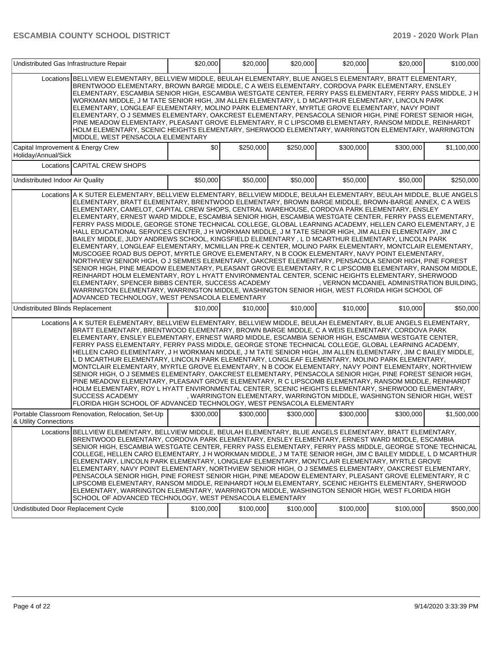| Undistributed Gas Infrastructure Repair                  |                                                                                                                                                                                                                                                                                                                                                                                                                                                                                                                                                                                                                                                                                                                                                                                                                                                                                                                                                                                                                                                                                                                                                                                                                                                                                                                                                                                                                                                                                                          | \$20,000  | \$20,000  | \$20,000  | \$20,000  | \$20,000                                                                 | \$100,000   |
|----------------------------------------------------------|----------------------------------------------------------------------------------------------------------------------------------------------------------------------------------------------------------------------------------------------------------------------------------------------------------------------------------------------------------------------------------------------------------------------------------------------------------------------------------------------------------------------------------------------------------------------------------------------------------------------------------------------------------------------------------------------------------------------------------------------------------------------------------------------------------------------------------------------------------------------------------------------------------------------------------------------------------------------------------------------------------------------------------------------------------------------------------------------------------------------------------------------------------------------------------------------------------------------------------------------------------------------------------------------------------------------------------------------------------------------------------------------------------------------------------------------------------------------------------------------------------|-----------|-----------|-----------|-----------|--------------------------------------------------------------------------|-------------|
|                                                          | Locations BELLVIEW ELEMENTARY, BELLVIEW MIDDLE, BEULAH ELEMENTARY, BLUE ANGELS ELEMENTARY, BRATT ELEMENTARY,<br>BRENTWOOD ELEMENTARY, BROWN BARGE MIDDLE, C A WEIS ELEMENTARY, CORDOVA PARK ELEMENTARY, ENSLEY<br>ELEMENTARY, ESCAMBIA SENIOR HIGH, ESCAMBIA WESTGATE CENTER, FERRY PASS ELEMENTARY, FERRY PASS MIDDLE, J H<br>WORKMAN MIDDLE, J M TATE SENIOR HIGH, JIM ALLEN ELEMENTARY, L D MCARTHUR ELEMENTARY, LINCOLN PARK<br>ELEMENTARY, LONGLEAF ELEMENTARY, MOLINO PARK ELEMENTARY, MYRTLE GROVE ELEMENTARY, NAVY POINT<br>ELEMENTARY, O J SEMMES ELEMENTARY, OAKCREST ELEMENTARY, PENSACOLA SENIOR HIGH, PINE FOREST SENIOR HIGH,<br>PINE MEADOW ELEMENTARY, PLEASANT GROVE ELEMENTARY, R C LIPSCOMB ELEMENTARY, RANSOM MIDDLE, REINHARDT<br>HOLM ELEMENTARY, SCENIC HEIGHTS ELEMENTARY, SHERWOOD ELEMENTARY, WARRINGTON ELEMENTARY, WARRINGTON<br>MIDDLE, WEST PENSACOLA ELEMENTARY                                                                                                                                                                                                                                                                                                                                                                                                                                                                                                                                                                                                           |           |           |           |           |                                                                          |             |
| Capital Improvement & Energy Crew<br>Holiday/Annual/Sick |                                                                                                                                                                                                                                                                                                                                                                                                                                                                                                                                                                                                                                                                                                                                                                                                                                                                                                                                                                                                                                                                                                                                                                                                                                                                                                                                                                                                                                                                                                          | \$0       | \$250,000 | \$250,000 | \$300,000 | \$300,000                                                                | \$1,100,000 |
|                                                          | Locations CAPITAL CREW SHOPS                                                                                                                                                                                                                                                                                                                                                                                                                                                                                                                                                                                                                                                                                                                                                                                                                                                                                                                                                                                                                                                                                                                                                                                                                                                                                                                                                                                                                                                                             |           |           |           |           |                                                                          |             |
| Undistributed Indoor Air Quality                         |                                                                                                                                                                                                                                                                                                                                                                                                                                                                                                                                                                                                                                                                                                                                                                                                                                                                                                                                                                                                                                                                                                                                                                                                                                                                                                                                                                                                                                                                                                          | \$50,000  | \$50,000  | \$50,000  | \$50,000  | \$50,000                                                                 | \$250,000   |
|                                                          | Locations A K SUTER ELEMENTARY, BELLVIEW ELEMENTARY, BELLVIEW MIDDLE, BEULAH ELEMENTARY, BEULAH MIDDLE, BLUE ANGELS<br>ELEMENTARY, BRATT ELEMENTARY, BRENTWOOD ELEMENTARY, BROWN BARGE MIDDLE, BROWN-BARGE ANNEX, C A WEIS<br>ELEMENTARY, CAMELOT, CAPITAL CREW SHOPS, CENTRAL WAREHOUSE, CORDOVA PARK ELEMENTARY, ENSLEY<br>ELEMENTARY, ERNEST WARD MIDDLE, ESCAMBIA SENIOR HIGH, ESCAMBIA WESTGATE CENTER, FERRY PASS ELEMENTARY,<br>FERRY PASS MIDDLE, GEORGE STONE TECHNICAL COLLEGE, GLOBAL LEARNING ACADEMY, HELLEN CARO ELEMENTARY, J E<br>HALL EDUCATIONAL SERVICES CENTER, J H WORKMAN MIDDLE, J M TATE SENIOR HIGH, JIM ALLEN ELEMENTARY, JIM C<br>BAILEY MIDDLE, JUDY ANDREWS SCHOOL, KINGSFIELD ELEMENTARY , L D MCARTHUR ELEMENTARY, LINCOLN PARK<br>ELEMENTARY, LONGLEAF ELEMENTARY, MCMILLAN PRE-K CENTER, MOLINO PARK ELEMENTARY, MONTCLAIR ELEMENTARY,<br>MUSCOGEE ROAD BUS DEPOT, MYRTLE GROVE ELEMENTARY, N B COOK ELEMENTARY, NAVY POINT ELEMENTARY,<br>NORTHVIEW SENIOR HIGH, O J SEMMES ELEMENTARY, OAKCREST ELEMENTARY, PENSACOLA SENIOR HIGH, PINE FOREST<br>SENIOR HIGH, PINE MEADOW ELEMENTARY, PLEASANT GROVE ELEMENTARY, R C LIPSCOMB ELEMENTARY, RANSOM MIDDLE,<br>REINHARDT HOLM ELEMENTARY, ROY L HYATT ENVIRONMENTAL CENTER, SCENIC HEIGHTS ELEMENTARY, SHERWOOD<br>ELEMENTARY, SPENCER BIBBS CENTER, SUCCESS ACADEMY<br>WARRINGTON ELEMENTARY, WARRINGTON MIDDLE, WASHINGTON SENIOR HIGH, WEST FLORIDA HIGH SCHOOL OF<br>ADVANCED TECHNOLOGY, WEST PENSACOLA ELEMENTARY |           |           |           |           | , VERNON MCDANIEL ADMINISTRATION BUILDING.                               |             |
| Undistributed Blinds Replacement                         |                                                                                                                                                                                                                                                                                                                                                                                                                                                                                                                                                                                                                                                                                                                                                                                                                                                                                                                                                                                                                                                                                                                                                                                                                                                                                                                                                                                                                                                                                                          | \$10,000  | \$10,000  | \$10,000  | \$10,000  | \$10,000                                                                 | \$50,000    |
|                                                          | Locations A K SUTER ELEMENTARY, BELLVIEW ELEMENTARY, BELLVIEW MIDDLE, BEULAH ELEMENTARY, BLUE ANGELS ELEMENTARY,<br>BRATT ELEMENTARY, BRENTWOOD ELEMENTARY, BROWN BARGE MIDDLE, C A WEIS ELEMENTARY, CORDOVA PARK<br>ELEMENTARY, ENSLEY ELEMENTARY, ERNEST WARD MIDDLE, ESCAMBIA SENIOR HIGH, ESCAMBIA WESTGATE CENTER,<br>FERRY PASS ELEMENTARY, FERRY PASS MIDDLE, GEORGE STONE TECHNICAL COLLEGE, GLOBAL LEARNING ACADEMY,<br>HELLEN CARO ELEMENTARY, J H WORKMAN MIDDLE, J M TATE SENIOR HIGH, JIM ALLEN ELEMENTARY, JIM C BAILEY MIDDLE,<br>L D MCARTHUR ELEMENTARY, LINCOLN PARK ELEMENTARY, LONGLEAF ELEMENTARY, MOLINO PARK ELEMENTARY,<br>MONTCLAIR ELEMENTARY, MYRTLE GROVE ELEMENTARY, N B COOK ELEMENTARY, NAVY POINT ELEMENTARY, NORTHVIEW<br>SENIOR HIGH, O J SEMMES ELEMENTARY, OAKCREST ELEMENTARY, PENSACOLA SENIOR HIGH, PINE FOREST SENIOR HIGH,<br>PINE MEADOW ELEMENTARY, PLEASANT GROVE ELEMENTARY, R C LIPSCOMB ELEMENTARY, RANSOM MIDDLE, REINHARDT<br>HOLM ELEMENTARY, ROY L HYATT ENVIRONMENTAL CENTER, SCENIC HEIGHTS ELEMENTARY, SHERWOOD ELEMENTARY,<br><b>SUCCESS ACADEMY</b><br>FLORIDA HIGH SCHOOL OF ADVANCED TECHNOLOGY, WEST PENSACOLA ELEMENTARY                                                                                                                                                                                                                                                                                                                     |           |           |           |           | , WARRINGTON ELEMENTARY, WARRINGTON MIDDLE, WASHINGTON SENIOR HIGH, WEST |             |
| & Utility Connections                                    | Portable Classroom Renovation, Relocation, Set-Up                                                                                                                                                                                                                                                                                                                                                                                                                                                                                                                                                                                                                                                                                                                                                                                                                                                                                                                                                                                                                                                                                                                                                                                                                                                                                                                                                                                                                                                        | \$300,000 | \$300,000 | \$300,000 | \$300,000 | \$300,000                                                                | \$1,500,000 |
| Undistibuted Door Replacement Cycle                      | Locations BELLVIEW ELEMENTARY, BELLVIEW MIDDLE, BEULAH ELEMENTARY, BLUE ANGELS ELEMENTARY, BRATT ELEMENTARY,<br>BRENTWOOD ELEMENTARY, CORDOVA PARK ELEMENTARY, ENSLEY ELEMENTARY, ERNEST WARD MIDDLE, ESCAMBIA<br>SENIOR HIGH, ESCAMBIA WESTGATE CENTER, FERRY PASS ELEMENTARY, FERRY PASS MIDDLE, GEORGE STONE TECHNICAL<br>COLLEGE, HELLEN CARO ELEMENTARY, J H WORKMAN MIDDLE, J M TATE SENIOR HIGH, JIM C BAILEY MIDDLE, L D MCARTHUR<br>ELEMENTARY, LINCOLN PARK ELEMENTARY, LONGLEAF ELEMENTARY, MONTCLAIR ELEMENTARY, MYRTLE GROVE<br>ELEMENTARY, NAVY POINT ELEMENTARY, NORTHVIEW SENIOR HIGH, O J SEMMES ELEMENTARY, OAKCREST ELEMENTARY,<br>PENSACOLA SENIOR HIGH, PINE FOREST SENIOR HIGH, PINE MEADOW ELEMENTARY, PLEASANT GROVE ELEMENTARY, R C<br>LIPSCOMB ELEMENTARY, RANSOM MIDDLE, REINHARDT HOLM ELEMENTARY, SCENIC HEIGHTS ELEMENTARY, SHERWOOD<br>ELEMENTARY, WARRINGTON ELEMENTARY, WARRINGTON MIDDLE, WASHINGTON SENIOR HIGH, WEST FLORIDA HIGH<br>SCHOOL OF ADVANCED TECHNOLOGY, WEST PENSACOLA ELEMENTARY                                                                                                                                                                                                                                                                                                                                                                                                                                                                        | \$100,000 | \$100,000 | \$100,000 | \$100,000 | \$100,000                                                                | \$500,000   |
|                                                          |                                                                                                                                                                                                                                                                                                                                                                                                                                                                                                                                                                                                                                                                                                                                                                                                                                                                                                                                                                                                                                                                                                                                                                                                                                                                                                                                                                                                                                                                                                          |           |           |           |           |                                                                          |             |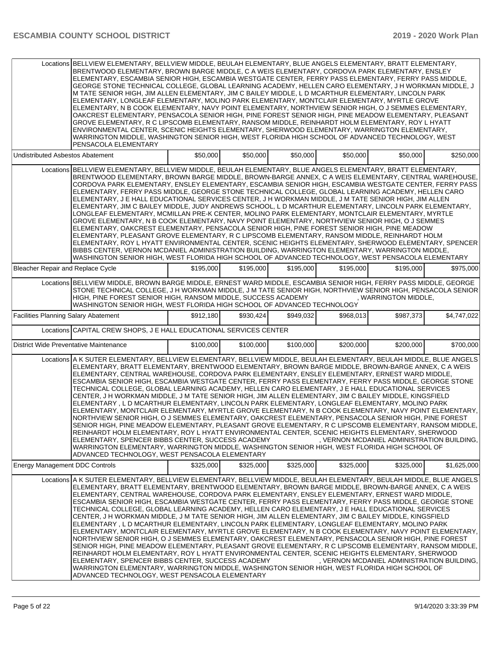|                                             | Locations BELLVIEW ELEMENTARY, BELLVIEW MIDDLE, BEULAH ELEMENTARY, BLUE ANGELS ELEMENTARY, BRATT ELEMENTARY,<br>BRENTWOOD ELEMENTARY, BROWN BARGE MIDDLE, C A WEIS ELEMENTARY, CORDOVA PARK ELEMENTARY, ENSLEY<br>ELEMENTARY, ESCAMBIA SENIOR HIGH, ESCAMBIA WESTGATE CENTER, FERRY PASS ELEMENTARY, FERRY PASS MIDDLE,<br>GEORGE STONE TECHNICAL COLLEGE, GLOBAL LEARNING ACADEMY, HELLEN CARO ELEMENTARY, J H WORKMAN MIDDLE, J<br>M TATE SENIOR HIGH, JIM ALLEN ELEMENTARY, JIM C BAILEY MIDDLE, L D MCARTHUR ELEMENTARY, LINCOLN PARK<br>ELEMENTARY, LONGLEAF ELEMENTARY, MOLINO PARK ELEMENTARY, MONTCLAIR ELEMENTARY, MYRTLE GROVE<br>ELEMENTARY, N B COOK ELEMENTARY, NAVY POINT ELEMENTARY, NORTHVIEW SENIOR HIGH, O J SEMMES ELEMENTARY,<br>OAKCREST ELEMENTARY, PENSACOLA SENIOR HIGH, PINE FOREST SENIOR HIGH, PINE MEADOW ELEMENTARY, PLEASANT<br>GROVE ELEMENTARY, R C LIPSCOMB ELEMENTARY, RANSOM MIDDLE, REINHARDT HOLM ELEMENTARY, ROY L HYATT<br>ENVIRONMENTAL CENTER, SCENIC HEIGHTS ELEMENTARY, SHERWOOD ELEMENTARY, WARRINGTON ELEMENTARY,<br>WARRINGTON MIDDLE, WASHINGTON SENIOR HIGH, WEST FLORIDA HIGH SCHOOL OF ADVANCED TECHNOLOGY, WEST<br>PENSACOLA ELEMENTARY                                                                                                                                                                                                          |           |           |           |           |                                            |             |
|---------------------------------------------|-----------------------------------------------------------------------------------------------------------------------------------------------------------------------------------------------------------------------------------------------------------------------------------------------------------------------------------------------------------------------------------------------------------------------------------------------------------------------------------------------------------------------------------------------------------------------------------------------------------------------------------------------------------------------------------------------------------------------------------------------------------------------------------------------------------------------------------------------------------------------------------------------------------------------------------------------------------------------------------------------------------------------------------------------------------------------------------------------------------------------------------------------------------------------------------------------------------------------------------------------------------------------------------------------------------------------------------------------------------------------------------------------------|-----------|-----------|-----------|-----------|--------------------------------------------|-------------|
| <b>Undistributed Asbestos Abatement</b>     |                                                                                                                                                                                                                                                                                                                                                                                                                                                                                                                                                                                                                                                                                                                                                                                                                                                                                                                                                                                                                                                                                                                                                                                                                                                                                                                                                                                                     | \$50,000  | \$50,000  | \$50,000  | \$50,000  | \$50,000                                   | \$250,000   |
|                                             | Locations BELLVIEW ELEMENTARY, BELLVIEW MIDDLE, BEULAH ELEMENTARY, BLUE ANGELS ELEMENTARY, BRATT ELEMENTARY,<br>BRENTWOOD ELEMENTARY, BROWN BARGE MIDDLE, BROWN-BARGE ANNEX, C A WEIS ELEMENTARY, CENTRAL WAREHOUSE,<br>CORDOVA PARK ELEMENTARY, ENSLEY ELEMENTARY, ESCAMBIA SENIOR HIGH, ESCAMBIA WESTGATE CENTER, FERRY PASS<br>ELEMENTARY, FERRY PASS MIDDLE, GEORGE STONE TECHNICAL COLLEGE, GLOBAL LEARNING ACADEMY, HELLEN CARO<br>ELEMENTARY, J E HALL EDUCATIONAL SERVICES CENTER, J H WORKMAN MIDDLE, J M TATE SENIOR HIGH, JIM ALLEN<br>ELEMENTARY, JIM C BAILEY MIDDLE, JUDY ANDREWS SCHOOL, L D MCARTHUR ELEMENTARY, LINCOLN PARK ELEMENTARY,<br>LONGLEAF ELEMENTARY, MCMILLAN PRE-K CENTER, MOLINO PARK ELEMENTARY, MONTCLAIR ELEMENTARY, MYRTLE<br>GROVE ELEMENTARY, N B COOK ELEMENTARY, NAVY POINT ELEMENTARY, NORTHVIEW SENIOR HIGH, O J SEMMES<br>ELEMENTARY, OAKCREST ELEMENTARY, PENSACOLA SENIOR HIGH, PINE FOREST SENIOR HIGH, PINE MEADOW<br>ELEMENTARY, PLEASANT GROVE ELEMENTARY, R C LIPSCOMB ELEMENTARY, RANSOM MIDDLE, REINHARDT HOLM<br>ELEMENTARY, ROY L HYATT ENVIRONMENTAL CENTER, SCENIC HEIGHTS ELEMENTARY, SHERWOOD ELEMENTARY, SPENCER<br>BIBBS CENTER, VERNON MCDANIEL ADMINISTRATION BUILDING, WARRINGTON ELEMENTARY, WARRINGTON MIDDLE,<br>WASHINGTON SENIOR HIGH, WEST FLORIDA HIGH SCHOOL OF ADVANCED TECHNOLOGY, WEST PENSACOLA ELEMENTARY                |           |           |           |           |                                            |             |
| Bleacher Repair and Replace Cycle           |                                                                                                                                                                                                                                                                                                                                                                                                                                                                                                                                                                                                                                                                                                                                                                                                                                                                                                                                                                                                                                                                                                                                                                                                                                                                                                                                                                                                     | \$195,000 | \$195,000 | \$195,000 | \$195,000 | \$195,000                                  | \$975,000   |
|                                             | Locations BELLVIEW MIDDLE, BROWN BARGE MIDDLE, ERNEST WARD MIDDLE, ESCAMBIA SENIOR HIGH, FERRY PASS MIDDLE, GEORGE<br>STONE TECHNICAL COLLEGE. J H WORKMAN MIDDLE. J M TATE SENIOR HIGH. NORTHVIEW SENIOR HIGH. PENSACOLA SENIOR<br>HIGH, PINE FOREST SENIOR HIGH, RANSOM MIDDLE, SUCCESS ACADEMY<br>WASHINGTON SENIOR HIGH, WEST FLORIDA HIGH SCHOOL OF ADVANCED TECHNOLOGY                                                                                                                                                                                                                                                                                                                                                                                                                                                                                                                                                                                                                                                                                                                                                                                                                                                                                                                                                                                                                        |           |           |           |           | , WARRINGTON MIDDLE.                       |             |
| <b>Facilities Planning Salary Abatement</b> |                                                                                                                                                                                                                                                                                                                                                                                                                                                                                                                                                                                                                                                                                                                                                                                                                                                                                                                                                                                                                                                                                                                                                                                                                                                                                                                                                                                                     | \$912,180 | \$930.424 | \$949,032 | \$968,013 | \$987,373                                  | \$4,747,022 |
|                                             | Locations CAPITAL CREW SHOPS, J E HALL EDUCATIONAL SERVICES CENTER                                                                                                                                                                                                                                                                                                                                                                                                                                                                                                                                                                                                                                                                                                                                                                                                                                                                                                                                                                                                                                                                                                                                                                                                                                                                                                                                  |           |           |           |           |                                            |             |
| District Wide Preventative Maintenance      |                                                                                                                                                                                                                                                                                                                                                                                                                                                                                                                                                                                                                                                                                                                                                                                                                                                                                                                                                                                                                                                                                                                                                                                                                                                                                                                                                                                                     | \$100,000 | \$100,000 | \$100,000 | \$200,000 | \$200,000                                  | \$700,000   |
|                                             | Locations A K SUTER ELEMENTARY, BELLVIEW ELEMENTARY, BELLVIEW MIDDLE, BEULAH ELEMENTARY, BEULAH MIDDLE, BLUE ANGELS<br>ELEMENTARY, BRATT ELEMENTARY, BRENTWOOD ELEMENTARY, BROWN BARGE MIDDLE, BROWN-BARGE ANNEX, C A WEIS<br>ELEMENTARY, CENTRAL WAREHOUSE, CORDOVA PARK ELEMENTARY, ENSLEY ELEMENTARY, ERNEST WARD MIDDLE,<br>ESCAMBIA SENIOR HIGH, ESCAMBIA WESTGATE CENTER, FERRY PASS ELEMENTARY, FERRY PASS MIDDLE, GEORGE STONE<br>TECHNICAL COLLEGE, GLOBAL LEARNING ACADEMY, HELLEN CARO ELEMENTARY, J E HALL EDUCATIONAL SERVICES<br>CENTER, J H WORKMAN MIDDLE, J M TATE SENIOR HIGH, JIM ALLEN ELEMENTARY, JIM C BAILEY MIDDLE, KINGSFIELD<br>ELEMENTARY, L D MCARTHUR ELEMENTARY, LINCOLN PARK ELEMENTARY, LONGLEAF ELEMENTARY, MOLINO PARK<br>ELEMENTARY, MONTCLAIR ELEMENTARY, MYRTLE GROVE ELEMENTARY, N B COOK ELEMENTARY, NAVY POINT ELEMENTARY,<br>NORTHVIEW SENIOR HIGH, O J SEMMES ELEMENTARY, OAKCREST ELEMENTARY, PENSACOLA SENIOR HIGH, PINE FOREST<br>SENIOR HIGH, PINE MEADOW ELEMENTARY, PLEASANT GROVE ELEMENTARY, R C LIPSCOMB ELEMENTARY, RANSOM MIDDLE,<br>REINHARDT HOLM ELEMENTARY, ROY L HYATT ENVIRONMENTAL CENTER, SCENIC HEIGHTS ELEMENTARY, SHERWOOD<br>ELEMENTARY, SPENCER BIBBS CENTER, SUCCESS ACADEMY<br>WARRINGTON ELEMENTARY, WARRINGTON MIDDLE, WASHINGTON SENIOR HIGH, WEST FLORIDA HIGH SCHOOL OF<br>ADVANCED TECHNOLOGY, WEST PENSACOLA ELEMENTARY  |           |           |           |           | . VERNON MCDANIEL ADMINISTRATION BUILDING. |             |
| <b>Energy Management DDC Controls</b>       |                                                                                                                                                                                                                                                                                                                                                                                                                                                                                                                                                                                                                                                                                                                                                                                                                                                                                                                                                                                                                                                                                                                                                                                                                                                                                                                                                                                                     | \$325,000 | \$325,000 | \$325,000 | \$325,000 | \$325,000                                  | \$1,625,000 |
|                                             | Locations A K SUTER ELEMENTARY, BELLVIEW ELEMENTARY, BELLVIEW MIDDLE, BEULAH ELEMENTARY, BEULAH MIDDLE, BLUE ANGELS<br>ELEMENTARY, BRATT ELEMENTARY, BRENTWOOD ELEMENTARY, BROWN BARGE MIDDLE, BROWN-BARGE ANNEX, C A WEIS<br>ELEMENTARY, CENTRAL WAREHOUSE, CORDOVA PARK ELEMENTARY, ENSLEY ELEMENTARY, ERNEST WARD MIDDLE,<br>ESCAMBIA SENIOR HIGH, ESCAMBIA WESTGATE CENTER, FERRY PASS ELEMENTARY, FERRY PASS MIDDLE, GEORGE STONE<br>TECHNICAL COLLEGE, GLOBAL LEARNING ACADEMY, HELLEN CARO ELEMENTARY, J E HALL EDUCATIONAL SERVICES<br>CENTER, J H WORKMAN MIDDLE, J M TATE SENIOR HIGH, JIM ALLEN ELEMENTARY, JIM C BAILEY MIDDLE, KINGSFIELD<br>ELEMENTARY , L D MCARTHUR ELEMENTARY, LINCOLN PARK ELEMENTARY, LONGLEAF ELEMENTARY, MOLINO PARK<br>ELEMENTARY, MONTCLAIR ELEMENTARY, MYRTLE GROVE ELEMENTARY, N B COOK ELEMENTARY, NAVY POINT ELEMENTARY,<br>NORTHVIEW SENIOR HIGH, O J SEMMES ELEMENTARY, OAKCREST ELEMENTARY, PENSACOLA SENIOR HIGH, PINE FOREST<br>SENIOR HIGH, PINE MEADOW ELEMENTARY, PLEASANT GROVE ELEMENTARY, R C LIPSCOMB ELEMENTARY, RANSOM MIDDLE,<br>REINHARDT HOLM ELEMENTARY, ROY L HYATT ENVIRONMENTAL CENTER, SCENIC HEIGHTS ELEMENTARY, SHERWOOD<br>ELEMENTARY, SPENCER BIBBS CENTER, SUCCESS ACADEMY<br>WARRINGTON ELEMENTARY, WARRINGTON MIDDLE, WASHINGTON SENIOR HIGH, WEST FLORIDA HIGH SCHOOL OF<br>ADVANCED TECHNOLOGY, WEST PENSACOLA ELEMENTARY |           |           |           |           | , VERNON MCDANIEL ADMINISTRATION BUILDING, |             |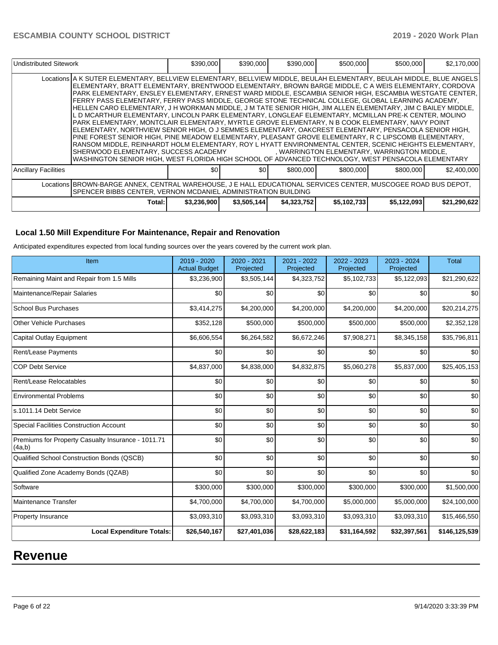| Undistributed Sitework |                                                                                                                                                                                                                                                                                                                                                                                                                                                                                                                                                                                                                                                                                                                                                                                                                                                                                                                                                                                                                                                                                                                                                                                                          | \$390,000   | \$390,000    | \$390,000   | \$500,000   | \$500,000   | \$2,170,000  |  |  |
|------------------------|----------------------------------------------------------------------------------------------------------------------------------------------------------------------------------------------------------------------------------------------------------------------------------------------------------------------------------------------------------------------------------------------------------------------------------------------------------------------------------------------------------------------------------------------------------------------------------------------------------------------------------------------------------------------------------------------------------------------------------------------------------------------------------------------------------------------------------------------------------------------------------------------------------------------------------------------------------------------------------------------------------------------------------------------------------------------------------------------------------------------------------------------------------------------------------------------------------|-------------|--------------|-------------|-------------|-------------|--------------|--|--|
|                        | Locations A K SUTER ELEMENTARY, BELLVIEW ELEMENTARY, BELLVIEW MIDDLE, BEULAH ELEMENTARY, BEULAH MIDDLE, BLUE ANGELS<br>ELEMENTARY, BRATT ELEMENTARY, BRENTWOOD ELEMENTARY, BROWN BARGE MIDDLE, C A WEIS ELEMENTARY, CORDOVA<br>PARK ELEMENTARY, ENSLEY ELEMENTARY, ERNEST WARD MIDDLE, ESCAMBIA SENIOR HIGH, ESCAMBIA WESTGATE CENTER,<br>FERRY PASS ELEMENTARY, FERRY PASS MIDDLE, GEORGE STONE TECHNICAL COLLEGE, GLOBAL LEARNING ACADEMY,<br>HELLEN CARO ELEMENTARY, J H WORKMAN MIDDLE, J M TATE SENIOR HIGH, JIM ALLEN ELEMENTARY, JIM C BAILEY MIDDLE,<br>L D MCARTHUR ELEMENTARY, LINCOLN PARK ELEMENTARY, LONGLEAF ELEMENTARY, MCMILLAN PRE-K CENTER, MOLINO<br>PARK ELEMENTARY, MONTCLAIR ELEMENTARY, MYRTLE GROVE ELEMENTARY, N B COOK ELEMENTARY, NAVY POINT<br>ELEMENTARY, NORTHVIEW SENIOR HIGH, O J SEMMES ELEMENTARY, OAKCREST ELEMENTARY, PENSACOLA SENIOR HIGH,<br>PINE FOREST SENIOR HIGH, PINE MEADOW ELEMENTARY, PLEASANT GROVE ELEMENTARY, R C LIPSCOMB ELEMENTARY,<br>RANSOM MIDDLE. REINHARDT HOLM ELEMENTARY. ROY L HYATT ENVIRONMENTAL CENTER. SCENIC HEIGHTS ELEMENTARY.<br>WASHINGTON SENIOR HIGH, WEST FLORIDA HIGH SCHOOL OF ADVANCED TECHNOLOGY, WEST PENSACOLA ELEMENTARY |             |              |             |             |             |              |  |  |
| Ancillary Facilities   |                                                                                                                                                                                                                                                                                                                                                                                                                                                                                                                                                                                                                                                                                                                                                                                                                                                                                                                                                                                                                                                                                                                                                                                                          | \$01        | \$01         | \$800,000   | \$800,000   | \$800,000   | \$2,400,000  |  |  |
|                        | Locations BROWN-BARGE ANNEX, CENTRAL WAREHOUSE, J E HALL EDUCATIONAL SERVICES CENTER, MUSCOGEE ROAD BUS DEPOT,<br>SPENCER BIBBS CENTER, VERNON MCDANIEL ADMINISTRATION BUILDING                                                                                                                                                                                                                                                                                                                                                                                                                                                                                                                                                                                                                                                                                                                                                                                                                                                                                                                                                                                                                          |             |              |             |             |             |              |  |  |
|                        | Total:                                                                                                                                                                                                                                                                                                                                                                                                                                                                                                                                                                                                                                                                                                                                                                                                                                                                                                                                                                                                                                                                                                                                                                                                   | \$3,236,900 | \$3,505,144] | \$4,323,752 | \$5,102,733 | \$5,122,093 | \$21,290,622 |  |  |

### **Local 1.50 Mill Expenditure For Maintenance, Repair and Renovation**

Anticipated expenditures expected from local funding sources over the years covered by the current work plan.

| Item                                                         | 2019 - 2020<br><b>Actual Budget</b> | 2020 - 2021<br>Projected | 2021 - 2022<br>Projected | 2022 - 2023<br>Projected | 2023 - 2024<br>Projected | <b>Total</b>  |
|--------------------------------------------------------------|-------------------------------------|--------------------------|--------------------------|--------------------------|--------------------------|---------------|
| Remaining Maint and Repair from 1.5 Mills                    | \$3,236,900                         | \$3,505,144              | \$4,323,752              | \$5,102,733              | \$5,122,093              | \$21,290,622  |
| Maintenance/Repair Salaries                                  | \$0                                 | \$0                      | \$0                      | \$0                      | \$0                      | \$0           |
| <b>School Bus Purchases</b>                                  | \$3,414,275                         | \$4,200,000              | \$4,200,000              | \$4,200,000              | \$4,200,000              | \$20,214,275  |
| <b>Other Vehicle Purchases</b>                               | \$352,128                           | \$500,000                | \$500,000                | \$500,000                | \$500,000                | \$2,352,128   |
| <b>Capital Outlay Equipment</b>                              | \$6,606,554                         | \$6,264,582              | \$6,672,246              | \$7,908,271              | \$8,345,158              | \$35,796,811  |
| Rent/Lease Payments                                          | \$0                                 | \$0                      | \$0                      | \$0                      | \$0                      | \$0           |
| <b>COP Debt Service</b>                                      | \$4,837,000                         | \$4,838,000              | \$4,832,875              | \$5,060,278              | \$5,837,000              | \$25,405,153  |
| Rent/Lease Relocatables                                      | \$0                                 | \$0                      | \$0                      | \$0                      | \$0                      | \$0           |
| <b>Environmental Problems</b>                                | \$0                                 | \$0                      | \$0                      | \$0                      | \$0                      | \$0           |
| s.1011.14 Debt Service                                       | \$0                                 | \$0                      | \$0                      | \$0                      | \$0                      | \$0           |
| <b>Special Facilities Construction Account</b>               | \$0                                 | \$0                      | \$0                      | \$0                      | \$0                      | \$0           |
| Premiums for Property Casualty Insurance - 1011.71<br>(4a,b) | \$0                                 | \$0                      | \$0                      | \$0                      | \$0                      | \$0           |
| Qualified School Construction Bonds (QSCB)                   | \$0                                 | \$0                      | \$0                      | \$0                      | \$0                      | \$0           |
| Qualified Zone Academy Bonds (QZAB)                          | \$0                                 | \$0                      | \$0                      | \$0                      | \$0                      | \$0           |
| Software                                                     | \$300,000                           | \$300,000                | \$300,000                | \$300,000                | \$300,000                | \$1,500,000   |
| <b>Maintenance Transfer</b>                                  | \$4,700,000                         | \$4,700,000              | \$4,700,000              | \$5,000,000              | \$5,000,000              | \$24,100,000  |
| <b>Property Insurance</b>                                    | \$3,093,310                         | \$3,093,310              | \$3,093,310              | \$3,093,310              | \$3,093,310              | \$15,466,550  |
| <b>Local Expenditure Totals:</b>                             | \$26,540,167                        | \$27,401,036             | \$28,622,183             | \$31,164,592             | \$32,397,561             | \$146,125,539 |

# **Revenue**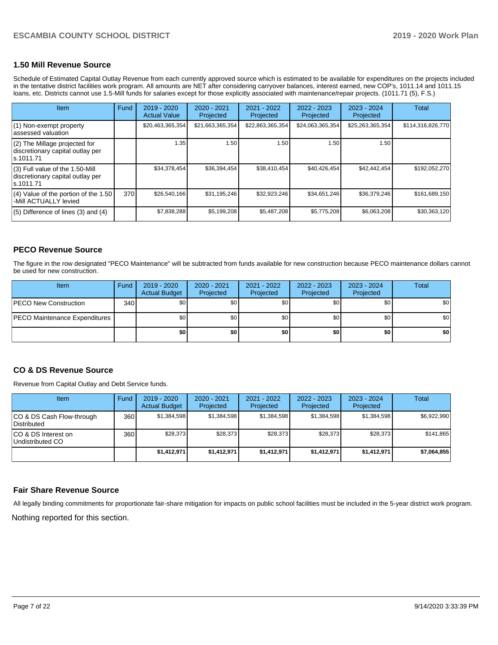### **1.50 Mill Revenue Source**

Schedule of Estimated Capital Outlay Revenue from each currently approved source which is estimated to be available for expenditures on the projects included in the tentative district facilities work program. All amounts are NET after considering carryover balances, interest earned, new COP's, 1011.14 and 1011.15 loans, etc. Districts cannot use 1.5-Mill funds for salaries except for those explicitly associated with maintenance/repair projects. (1011.71 (5), F.S.)

| <b>Item</b>                                                                         | Fund | 2019 - 2020<br><b>Actual Value</b> | $2020 - 2021$<br>Projected | 2021 - 2022<br>Projected | $2022 - 2023$<br>Projected | $2023 - 2024$<br>Projected | <b>Total</b>      |
|-------------------------------------------------------------------------------------|------|------------------------------------|----------------------------|--------------------------|----------------------------|----------------------------|-------------------|
| $(1)$ Non-exempt property<br>lassessed valuation                                    |      | \$20,463,365,354                   | \$21,663,365,354           | \$22,863,365,354         | \$24,063,365,354           | \$25,263,365,354           | \$114,316,826,770 |
| (2) The Millage projected for<br>discretionary capital outlay per<br>ls.1011.71     |      | 1.35                               | 1.50                       | 1.50                     | 1.50                       | 1.50                       |                   |
| $(3)$ Full value of the 1.50-Mill<br>discretionary capital outlay per<br>ls.1011.71 |      | \$34,378,454                       | \$36,394,454               | \$38,410,454             | \$40,426,454               | \$42,442,454               | \$192,052,270     |
| $(4)$ Value of the portion of the 1.50<br>-Mill ACTUALLY levied                     | 370  | \$26,540,166                       | \$31,195,246               | \$32,923,246             | \$34,651,246               | \$36,379,246               | \$161,689,150     |
| $(5)$ Difference of lines $(3)$ and $(4)$                                           |      | \$7,838,288                        | \$5,199,208                | \$5,487,208              | \$5,775,208                | \$6,063,208                | \$30,363,120      |

### **PECO Revenue Source**

The figure in the row designated "PECO Maintenance" will be subtracted from funds available for new construction because PECO maintenance dollars cannot be used for new construction.

| <b>Item</b>                          | Fund | 2019 - 2020<br><b>Actual Budget</b> | 2020 - 2021<br>Projected | 2021 - 2022<br>Projected | 2022 - 2023<br>Projected | 2023 - 2024<br>Projected | <b>Total</b> |
|--------------------------------------|------|-------------------------------------|--------------------------|--------------------------|--------------------------|--------------------------|--------------|
| <b>IPECO New Construction</b>        | 340  | \$0                                 | \$0                      | \$0                      | \$0                      | \$0                      | \$0          |
| <b>PECO Maintenance Expenditures</b> |      | \$0                                 | \$0                      | \$0                      | \$0                      | \$0 <sub>1</sub>         | \$0          |
|                                      |      | \$0                                 | \$0                      | \$0                      | \$0                      | \$0                      | \$0          |

### **CO & DS Revenue Source**

Revenue from Capital Outlay and Debt Service funds.

| Item                                     | Fund  | $2019 - 2020$<br><b>Actual Budget</b> | 2020 - 2021<br>Projected | 2021 - 2022<br>Projected | $2022 - 2023$<br>Projected | $2023 - 2024$<br>Projected | Total       |
|------------------------------------------|-------|---------------------------------------|--------------------------|--------------------------|----------------------------|----------------------------|-------------|
| CO & DS Cash Flow-through<br>Distributed | 360 l | \$1,384,598                           | \$1,384,598              | \$1,384,598              | \$1,384,598                | \$1,384,598                | \$6,922,990 |
| ICO & DS Interest on<br>Undistributed CO | 360 l | \$28,373                              | \$28,373                 | \$28,373                 | \$28,373                   | \$28,373                   | \$141,865   |
|                                          |       | \$1,412,971                           | \$1,412,971              | \$1,412,971              | \$1,412,971                | \$1,412,971                | \$7,064,855 |

### **Fair Share Revenue Source**

All legally binding commitments for proportionate fair-share mitigation for impacts on public school facilities must be included in the 5-year district work program.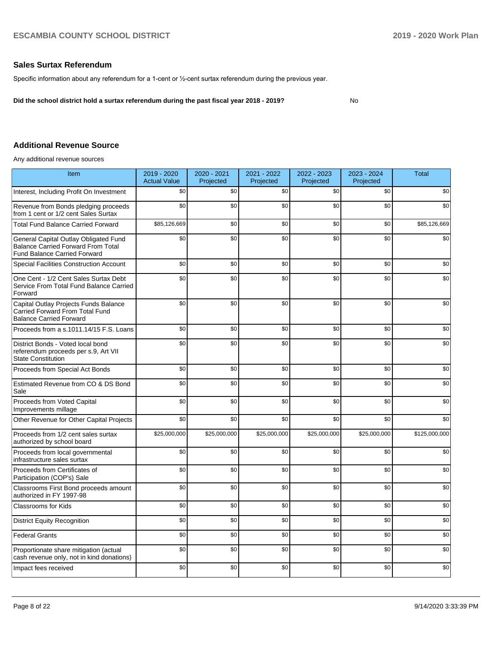## **Sales Surtax Referendum**

Specific information about any referendum for a 1-cent or ½-cent surtax referendum during the previous year.

**Did the school district hold a surtax referendum during the past fiscal year 2018 - 2019?**

## No

## **Additional Revenue Source**

Any additional revenue sources

| <b>Item</b>                                                                                                               | 2019 - 2020<br><b>Actual Value</b> | 2020 - 2021<br>Projected | 2021 - 2022<br>Projected | 2022 - 2023<br>Projected | 2023 - 2024<br>Projected | <b>Total</b>  |
|---------------------------------------------------------------------------------------------------------------------------|------------------------------------|--------------------------|--------------------------|--------------------------|--------------------------|---------------|
| Interest, Including Profit On Investment                                                                                  | \$0                                | \$0                      | \$0                      | \$0                      | \$0                      | \$0           |
| Revenue from Bonds pledging proceeds<br>from 1 cent or 1/2 cent Sales Surtax                                              | \$0                                | \$0                      | \$0                      | \$0                      | \$0                      | \$0           |
| <b>Total Fund Balance Carried Forward</b>                                                                                 | \$85,126,669                       | \$0                      | \$0                      | \$0                      | \$0                      | \$85,126,669  |
| General Capital Outlay Obligated Fund<br><b>Balance Carried Forward From Total</b><br><b>Fund Balance Carried Forward</b> | \$0                                | \$0                      | \$0                      | \$0                      | \$0                      | \$0           |
| <b>Special Facilities Construction Account</b>                                                                            | \$0                                | \$0                      | \$0                      | \$0                      | \$0                      | \$0           |
| One Cent - 1/2 Cent Sales Surtax Debt<br>Service From Total Fund Balance Carried<br>Forward                               | \$0                                | \$0                      | \$0                      | \$0                      | \$0                      | \$0           |
| Capital Outlay Projects Funds Balance<br>Carried Forward From Total Fund<br><b>Balance Carried Forward</b>                | \$0                                | \$0                      | \$0                      | \$0                      | \$0                      | \$0           |
| Proceeds from a s.1011.14/15 F.S. Loans                                                                                   | \$0                                | \$0                      | \$0                      | \$0                      | \$0                      | \$0           |
| District Bonds - Voted local bond<br>referendum proceeds per s.9, Art VII<br><b>State Constitution</b>                    | \$0                                | \$0                      | \$0                      | \$0                      | \$0                      | \$0           |
| Proceeds from Special Act Bonds                                                                                           | \$0                                | \$0                      | \$0                      | \$0                      | \$0                      | \$0           |
| Estimated Revenue from CO & DS Bond<br>Sale                                                                               | \$0                                | \$0                      | \$0                      | \$0                      | \$0                      | \$0           |
| Proceeds from Voted Capital<br>Improvements millage                                                                       | \$0                                | \$0                      | \$0                      | \$0                      | \$0                      | \$0           |
| Other Revenue for Other Capital Projects                                                                                  | \$0                                | \$0                      | \$0                      | \$0                      | \$0                      | \$0           |
| Proceeds from 1/2 cent sales surtax<br>authorized by school board                                                         | \$25,000,000                       | \$25,000,000             | \$25,000,000             | \$25,000,000             | \$25,000,000             | \$125,000,000 |
| Proceeds from local governmental<br>infrastructure sales surtax                                                           | \$0                                | \$0                      | \$0                      | \$0                      | \$0                      | \$0           |
| Proceeds from Certificates of<br>Participation (COP's) Sale                                                               | \$0                                | \$0                      | \$0                      | \$0                      | \$0                      | \$0           |
| Classrooms First Bond proceeds amount<br>authorized in FY 1997-98                                                         | \$0                                | \$0                      | \$0                      | \$0                      | \$0                      | \$0           |
| <b>Classrooms for Kids</b>                                                                                                | \$0                                | \$0                      | \$0                      | \$0                      | \$0                      | \$0           |
| <b>District Equity Recognition</b>                                                                                        | \$0                                | \$0                      | \$0                      | \$0                      | \$0                      | \$0           |
| <b>Federal Grants</b>                                                                                                     | \$0                                | \$0                      | \$0                      | \$0                      | \$0                      | \$0           |
| Proportionate share mitigation (actual<br>cash revenue only, not in kind donations)                                       | \$0                                | \$0                      | \$0                      | \$0                      | \$0                      | \$0           |
| Impact fees received                                                                                                      | \$0                                | \$0                      | \$0                      | \$0                      | \$0                      | \$0           |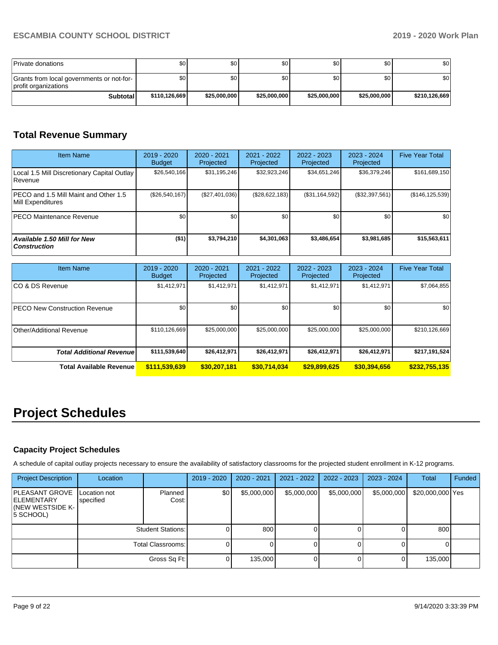| Private donations                                                 | SO I          | \$٥          | \$0          | \$0          | \$0          | \$0           |
|-------------------------------------------------------------------|---------------|--------------|--------------|--------------|--------------|---------------|
| Grants from local governments or not-for-<br>profit organizations | SO I          | \$٥Ι         | \$0          | \$0          | \$0          | \$0           |
| Subtotal                                                          | \$110,126,669 | \$25,000,000 | \$25,000,000 | \$25,000,000 | \$25,000,000 | \$210,126,669 |

# **Total Revenue Summary**

| <b>Item Name</b>                                            | $2019 - 2020$<br><b>Budget</b> | $2020 - 2021$<br>Projected | 2021 - 2022<br>Projected | $2022 - 2023$<br>Projected | $2023 - 2024$<br>Projected | <b>Five Year Total</b> |
|-------------------------------------------------------------|--------------------------------|----------------------------|--------------------------|----------------------------|----------------------------|------------------------|
| Local 1.5 Mill Discretionary Capital Outlay<br> Revenue     | \$26,540,166                   | \$31,195,246               | \$32,923,246             | \$34,651,246               | \$36,379,246               | \$161,689,150          |
| IPECO and 1.5 Mill Maint and Other 1.5<br>Mill Expenditures | (\$26,540,167)                 | (\$27,401,036)             | (\$28,622,183)           | (S31, 164, 592)            | (\$32,397,561)             | (\$146, 125, 539)      |
| <b>PECO Maintenance Revenue</b>                             | \$0                            | \$0 <sub>1</sub>           | \$0                      | \$0                        | \$0                        | \$0                    |
| Available 1.50 Mill for New<br><b>Construction</b>          | ( \$1)                         | \$3.794.210                | \$4,301,063              | \$3.486.654                | \$3,981,685                | \$15,563,611           |

| <b>Item Name</b>                      | $2019 - 2020$<br><b>Budget</b> | $2020 - 2021$<br>Projected | 2021 - 2022<br>Projected | $2022 - 2023$<br>Projected | $2023 - 2024$<br>Projected | <b>Five Year Total</b> |
|---------------------------------------|--------------------------------|----------------------------|--------------------------|----------------------------|----------------------------|------------------------|
| ICO & DS Revenue                      | \$1,412,971                    | \$1,412,971                | \$1,412,971              | \$1,412,971                | \$1,412,971                | \$7,064,855            |
| <b>IPECO New Construction Revenue</b> | \$0                            | \$0                        | \$0                      | \$0                        | \$0                        | \$0                    |
| Other/Additional Revenue              | \$110,126,669                  | \$25,000,000               | \$25,000,000             | \$25,000,000               | \$25,000,000               | \$210,126,669          |
| <b>Total Additional Revenuel</b>      | \$111,539,640                  | \$26,412,971               | \$26,412,971             | \$26,412,971               | \$26,412,971               | \$217,191,524          |
| Total Available Revenue               | \$111,539,639                  | \$30,207,181               | \$30,714,034             | \$29,899,625               | \$30,394,656               | \$232,755,135          |

# **Project Schedules**

## **Capacity Project Schedules**

A schedule of capital outlay projects necessary to ensure the availability of satisfactory classrooms for the projected student enrollment in K-12 programs.

| <b>Project Description</b>                                           | Location                  |                          | $2019 - 2020$ | $2020 - 2021$ | 2021 - 2022 | $2022 - 2023$ | 2023 - 2024 | <b>Total</b>     | Funded |
|----------------------------------------------------------------------|---------------------------|--------------------------|---------------|---------------|-------------|---------------|-------------|------------------|--------|
| PLEASANT GROVE<br><b>ELEMENTARY</b><br>(NEW WESTSIDE K-<br>5 SCHOOL) | Location not<br>specified | Planned<br>Cost:         | \$0           | \$5,000,000   | \$5,000,000 | \$5,000,000   | \$5,000,000 | \$20,000,000 Yes |        |
|                                                                      |                           | <b>Student Stations:</b> |               | 800           |             |               |             | 800              |        |
|                                                                      |                           | Total Classrooms:        |               |               |             |               |             |                  |        |
|                                                                      |                           | Gross Sq Ft:             |               | 135,000       |             |               |             | 135,000          |        |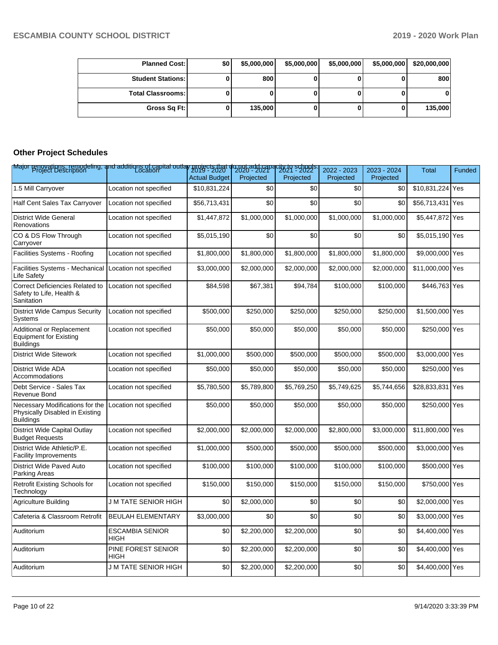| <b>Planned Cost:</b>     | \$0 I | \$5,000,000 | \$5,000,000 | \$5,000,000 | \$5,000,000 | \$20,000,000 |
|--------------------------|-------|-------------|-------------|-------------|-------------|--------------|
| <b>Student Stations:</b> |       | 800         |             |             |             | 800          |
| <b>Total Classrooms:</b> |       |             |             |             |             | 01           |
| Gross Sq Ft:             |       | 135,000     | U           |             |             | 135,000      |

## **Other Project Schedules**

| Major renovations, remodeling, and additions of capital outlay projects that do not add capacity to schools.<br>Major Project Description |                                |                      |             |             | 2022 - 2023 | 2023 - 2024 | <b>Total</b>     | <b>Funded</b> |
|-------------------------------------------------------------------------------------------------------------------------------------------|--------------------------------|----------------------|-------------|-------------|-------------|-------------|------------------|---------------|
|                                                                                                                                           |                                | <b>Actual Budget</b> | Projected   | Projected   | Projected   | Projected   |                  |               |
| 1.5 Mill Carryover                                                                                                                        | Location not specified         | \$10.831.224         | \$0         | \$0         | \$0         | \$0         | \$10,831,224     | Yes           |
| Half Cent Sales Tax Carryover                                                                                                             | Location not specified         | \$56,713,431         | \$0         | \$0         | \$0         | \$0         | \$56,713,431 Yes |               |
| <b>District Wide General</b><br>Renovations                                                                                               | Location not specified         | \$1,447,872          | \$1,000,000 | \$1,000,000 | \$1.000.000 | \$1,000,000 | \$5,447,872 Yes  |               |
| CO & DS Flow Through<br>Carryover                                                                                                         | Location not specified         | \$5,015,190          | \$0         | \$0         | \$0         | \$0         | \$5,015,190 Yes  |               |
| Facilities Systems - Roofing                                                                                                              | Location not specified         | \$1,800,000          | \$1,800,000 | \$1,800,000 | \$1,800,000 | \$1,800,000 | \$9,000,000 Yes  |               |
| <b>Facilities Systems - Mechanical</b><br>Life Safety                                                                                     | Location not specified         | \$3,000,000          | \$2,000,000 | \$2,000,000 | \$2,000,000 | \$2,000,000 | \$11,000,000 Yes |               |
| <b>Correct Deficiencies Related to</b><br>Safety to Life, Health &<br>Sanitation                                                          | Location not specified         | \$84,598             | \$67,381    | \$94,784    | \$100,000   | \$100,000   | \$446,763 Yes    |               |
| <b>District Wide Campus Security</b><br>Systems                                                                                           | Location not specified         | \$500,000            | \$250,000   | \$250,000   | \$250,000   | \$250,000   | \$1,500,000 Yes  |               |
| Additional or Replacement<br><b>Equipment for Existing</b><br><b>Buildings</b>                                                            | Location not specified         | \$50,000             | \$50,000    | \$50,000    | \$50,000    | \$50,000    | \$250,000 Yes    |               |
| <b>District Wide Sitework</b>                                                                                                             | Location not specified         | \$1,000,000          | \$500,000   | \$500,000   | \$500,000   | \$500,000   | \$3,000,000 Yes  |               |
| <b>District Wide ADA</b><br>Accommodations                                                                                                | Location not specified         | \$50,000             | \$50,000    | \$50,000    | \$50,000    | \$50,000    | \$250,000 Yes    |               |
| Debt Service - Sales Tax<br>Revenue Bond                                                                                                  | Location not specified         | \$5,780,500          | \$5,789,800 | \$5,769,250 | \$5,749,625 | \$5,744,656 | \$28,833,831 Yes |               |
| Necessary Modifications for the<br>Physically Disabled in Existing<br><b>Buildings</b>                                                    | Location not specified         | \$50,000             | \$50,000    | \$50,000    | \$50,000    | \$50,000    | \$250,000 Yes    |               |
| District Wide Capital Outlay<br><b>Budget Requests</b>                                                                                    | Location not specified         | \$2,000,000          | \$2,000,000 | \$2,000,000 | \$2,800,000 | \$3,000,000 | \$11,800,000 Yes |               |
| District Wide Athletic/P.E.<br><b>Facility Improvements</b>                                                                               | Location not specified         | \$1,000,000          | \$500,000   | \$500,000   | \$500,000   | \$500,000   | \$3,000,000 Yes  |               |
| District Wide Paved Auto<br>Parking Areas                                                                                                 | Location not specified         | \$100,000            | \$100,000   | \$100,000   | \$100,000   | \$100,000   | \$500,000 Yes    |               |
| <b>Retrofit Existing Schools for</b><br>Technology                                                                                        | Location not specified         | \$150,000            | \$150,000   | \$150,000   | \$150,000   | \$150,000   | \$750,000 Yes    |               |
| <b>Agriculture Building</b>                                                                                                               | J M TATE SENIOR HIGH           | \$0                  | \$2,000,000 | \$0         | \$0         | \$0         | \$2,000,000 Yes  |               |
| Cafeteria & Classroom Retrofit                                                                                                            | <b>BEULAH ELEMENTARY</b>       | \$3,000,000          | \$0         | \$0         | \$0         | \$0         | \$3,000,000 Yes  |               |
| Auditorium                                                                                                                                | <b>ESCAMBIA SENIOR</b><br>HIGH | \$0                  | \$2,200,000 | \$2,200,000 | \$0         | \$0         | \$4,400,000 Yes  |               |
| Auditorium                                                                                                                                | PINE FOREST SENIOR<br>HIGH     | \$0                  | \$2,200,000 | \$2,200,000 | \$0         | \$0         | \$4,400,000 Yes  |               |
| Auditorium                                                                                                                                | J M TATE SENIOR HIGH           | \$0                  | \$2,200,000 | \$2,200,000 | \$0         | \$0         | \$4,400,000 Yes  |               |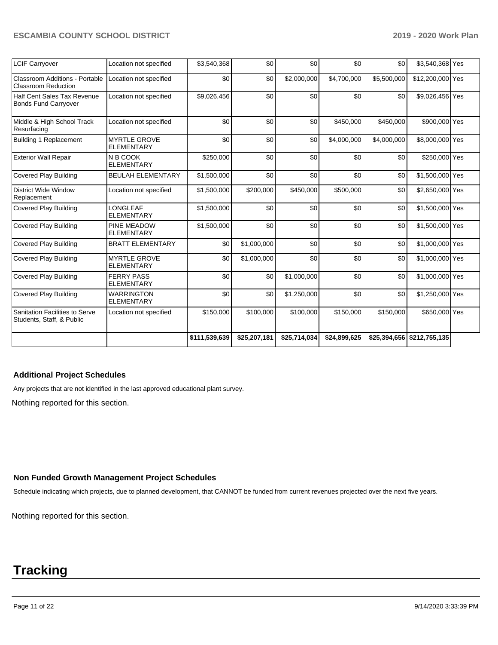| <b>LCIF Carryover</b>                                        | Location not specified                   | \$3,540,368   | \$0          | \$0          | \$0          | \$0         | \$3,540,368 Yes            |  |
|--------------------------------------------------------------|------------------------------------------|---------------|--------------|--------------|--------------|-------------|----------------------------|--|
| Classroom Additions - Portable<br><b>Classroom Reduction</b> | Location not specified                   | \$0           | \$0          | \$2,000,000  | \$4,700,000  | \$5,500,000 | \$12,200,000 Yes           |  |
| Half Cent Sales Tax Revenue<br><b>Bonds Fund Carryover</b>   | Location not specified                   | \$9,026,456   | \$0          | \$0          | \$0          | \$0         | \$9,026,456 Yes            |  |
| Middle & High School Track<br>Resurfacing                    | Location not specified                   | \$0           | \$0          | \$0          | \$450,000    | \$450,000   | \$900,000 Yes              |  |
| Building 1 Replacement                                       | <b>MYRTLE GROVE</b><br><b>ELEMENTARY</b> | \$0           | \$0          | \$0          | \$4,000,000  | \$4,000,000 | \$8,000,000 Yes            |  |
| <b>Exterior Wall Repair</b>                                  | N B COOK<br><b>ELEMENTARY</b>            | \$250,000     | \$0          | \$0          | \$0          | \$0         | \$250,000 Yes              |  |
| <b>Covered Play Building</b>                                 | <b>BEULAH ELEMENTARY</b>                 | \$1,500,000   | \$0          | \$0          | \$0          | \$0         | \$1,500,000 Yes            |  |
| District Wide Window<br>Replacement                          | Location not specified                   | \$1,500,000   | \$200,000    | \$450,000    | \$500,000    | \$0         | \$2,650,000 Yes            |  |
| <b>Covered Play Building</b>                                 | LONGLEAF<br><b>ELEMENTARY</b>            | \$1,500,000   | \$0          | \$0          | \$0          | \$0         | \$1,500,000 Yes            |  |
| <b>Covered Play Building</b>                                 | PINE MEADOW<br><b>ELEMENTARY</b>         | \$1,500,000   | \$0          | \$0          | \$0          | \$0         | \$1,500,000 Yes            |  |
| <b>Covered Play Building</b>                                 | <b>BRATT ELEMENTARY</b>                  | \$0           | \$1,000,000  | \$0          | \$0          | \$0         | \$1,000,000 Yes            |  |
| <b>Covered Play Building</b>                                 | <b>MYRTLE GROVE</b><br><b>ELEMENTARY</b> | \$0           | \$1,000,000  | \$0          | \$0          | \$0         | \$1,000,000 Yes            |  |
| Covered Play Building                                        | <b>FERRY PASS</b><br><b>ELEMENTARY</b>   | \$0           | \$0          | \$1,000,000  | \$0          | \$0         | \$1,000,000 Yes            |  |
| <b>Covered Play Building</b>                                 | <b>WARRINGTON</b><br><b>ELEMENTARY</b>   | \$0           | \$0          | \$1,250,000  | \$0          | \$0         | \$1,250,000 Yes            |  |
| Sanitation Facilities to Serve<br>Students, Staff, & Public  | Location not specified                   | \$150,000     | \$100,000    | \$100,000    | \$150,000    | \$150,000   | \$650,000 Yes              |  |
|                                                              |                                          | \$111,539,639 | \$25,207,181 | \$25,714,034 | \$24,899,625 |             | \$25,394,656 \$212,755,135 |  |

## **Additional Project Schedules**

Any projects that are not identified in the last approved educational plant survey.

Nothing reported for this section.

### **Non Funded Growth Management Project Schedules**

Schedule indicating which projects, due to planned development, that CANNOT be funded from current revenues projected over the next five years.

Nothing reported for this section.

# **Tracking**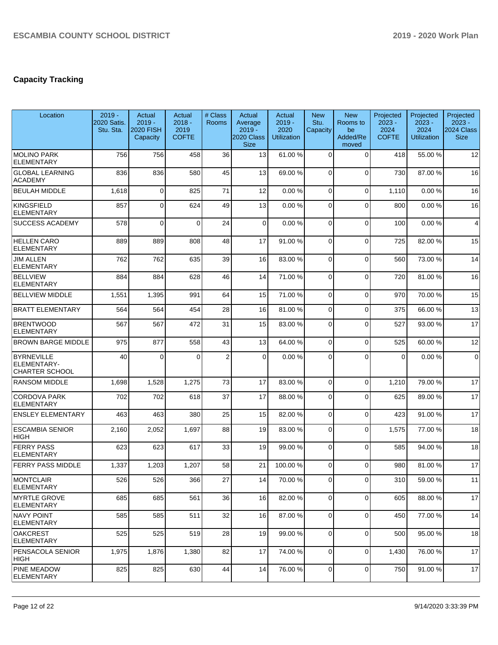# **Capacity Tracking**

| Location                                           | $2019 -$<br>2020 Satis.<br>Stu. Sta. | Actual<br>$2019 -$<br><b>2020 FISH</b><br>Capacity | Actual<br>$2018 -$<br>2019<br><b>COFTE</b> | # Class<br><b>Rooms</b> | Actual<br>Average<br>$2019 -$<br>2020 Class<br><b>Size</b> | Actual<br>$2019 -$<br>2020<br><b>Utilization</b> | <b>New</b><br>Stu.<br>Capacity | <b>New</b><br>Rooms to<br>be<br>Added/Re<br>moved | Projected<br>$2023 -$<br>2024<br><b>COFTE</b> | Projected<br>$2023 -$<br>2024<br><b>Utilization</b> | Projected<br>$2023 -$<br>2024 Class<br><b>Size</b> |
|----------------------------------------------------|--------------------------------------|----------------------------------------------------|--------------------------------------------|-------------------------|------------------------------------------------------------|--------------------------------------------------|--------------------------------|---------------------------------------------------|-----------------------------------------------|-----------------------------------------------------|----------------------------------------------------|
| <b>MOLINO PARK</b><br><b>ELEMENTARY</b>            | 756                                  | 756                                                | 458                                        | 36                      | 13                                                         | 61.00%                                           | $\Omega$                       | $\Omega$                                          | 418                                           | 55.00 %                                             | 12                                                 |
| <b>GLOBAL LEARNING</b><br><b>ACADEMY</b>           | 836                                  | 836                                                | 580                                        | 45                      | 13                                                         | 69.00 %                                          | $\Omega$                       | $\Omega$                                          | 730                                           | 87.00 %                                             | 16                                                 |
| <b>BEULAH MIDDLE</b>                               | 1,618                                | $\overline{0}$                                     | 825                                        | 71                      | 12                                                         | 0.00%                                            | $\Omega$                       | $\Omega$                                          | 1,110                                         | 0.00%                                               | 16                                                 |
| KINGSFIELD<br><b>ELEMENTARY</b>                    | 857                                  | $\overline{0}$                                     | 624                                        | 49                      | 13                                                         | 0.00%                                            | $\overline{0}$                 | $\Omega$                                          | 800                                           | 0.00%                                               | 16                                                 |
| <b>SUCCESS ACADEMY</b>                             | 578                                  | $\mathbf 0$                                        | $\Omega$                                   | 24                      | $\mathbf 0$                                                | 0.00%                                            | $\Omega$                       | $\Omega$                                          | 100                                           | 0.00%                                               | 4                                                  |
| <b>HELLEN CARO</b><br><b>ELEMENTARY</b>            | 889                                  | 889                                                | 808                                        | 48                      | 17                                                         | 91.00%                                           | $\Omega$                       | $\Omega$                                          | 725                                           | 82.00 %                                             | 15                                                 |
| <b>JIM ALLEN</b><br><b>ELEMENTARY</b>              | 762                                  | 762                                                | 635                                        | 39                      | 16                                                         | 83.00 %                                          | $\overline{0}$                 | $\Omega$                                          | 560                                           | 73.00 %                                             | 14                                                 |
| <b>BELLVIEW</b><br><b>ELEMENTARY</b>               | 884                                  | 884                                                | 628                                        | 46                      | 14                                                         | 71.00 %                                          | $\Omega$                       | $\Omega$                                          | 720                                           | 81.00%                                              | 16                                                 |
| <b>BELLVIEW MIDDLE</b>                             | 1,551                                | 1,395                                              | 991                                        | 64                      | 15                                                         | 71.00%                                           | $\overline{0}$                 | $\Omega$                                          | 970                                           | 70.00%                                              | 15                                                 |
| <b>BRATT ELEMENTARY</b>                            | 564                                  | 564                                                | 454                                        | 28                      | 16                                                         | 81.00%                                           | $\overline{0}$                 | $\Omega$                                          | 375                                           | 66.00 %                                             | 13                                                 |
| <b>BRENTWOOD</b><br><b>ELEMENTARY</b>              | 567                                  | 567                                                | 472                                        | 31                      | 15                                                         | 83.00 %                                          | $\Omega$                       | $\Omega$                                          | 527                                           | 93.00 %                                             | 17                                                 |
| <b>BROWN BARGE MIDDLE</b>                          | 975                                  | 877                                                | 558                                        | 43                      | 13                                                         | 64.00%                                           | $\overline{0}$                 | $\Omega$                                          | 525                                           | 60.00 %                                             | 12                                                 |
| BYRNEVILLE<br>ELEMENTARY-<br><b>CHARTER SCHOOL</b> | 40                                   | $\Omega$                                           | $\Omega$                                   | $\overline{2}$          | $\mathbf 0$                                                | 0.00%                                            | $\Omega$                       | $\Omega$                                          | $\Omega$                                      | 0.00%                                               | $\mathbf 0$                                        |
| <b>RANSOM MIDDLE</b>                               | 1,698                                | 1,528                                              | 1,275                                      | 73                      | 17                                                         | 83.00 %                                          | $\mathbf 0$                    | $\Omega$                                          | 1,210                                         | 79.00 %                                             | 17                                                 |
| <b>CORDOVA PARK</b><br><b>ELEMENTARY</b>           | 702                                  | 702                                                | 618                                        | 37                      | 17                                                         | 88.00 %                                          | $\Omega$                       | $\Omega$                                          | 625                                           | 89.00 %                                             | 17                                                 |
| <b>ENSLEY ELEMENTARY</b>                           | 463                                  | 463                                                | 380                                        | 25                      | 15                                                         | 82.00 %                                          | 0                              | $\Omega$                                          | 423                                           | 91.00 %                                             | 17                                                 |
| <b>ESCAMBIA SENIOR</b><br><b>HIGH</b>              | 2,160                                | 2,052                                              | 1,697                                      | 88                      | 19                                                         | 83.00 %                                          | 0                              | $\Omega$                                          | 1,575                                         | 77.00 %                                             | 18                                                 |
| <b>FERRY PASS</b><br><b>ELEMENTARY</b>             | 623                                  | 623                                                | 617                                        | 33                      | 19                                                         | 99.00 %                                          | $\overline{0}$                 | $\Omega$                                          | 585                                           | 94.00%                                              | 18                                                 |
| <b>FERRY PASS MIDDLE</b>                           | 1,337                                | 1,203                                              | 1,207                                      | 58                      | 21                                                         | 100.00%                                          | $\Omega$                       | $\Omega$                                          | 980                                           | 81.00%                                              | 17                                                 |
| MONTCLAIR<br><b>ELEMENTARY</b>                     | 526                                  | 526                                                | 366                                        | 27                      | 14                                                         | 70.00 %                                          | $\overline{0}$                 | $\overline{0}$                                    | 310                                           | 59.00 %                                             | 11                                                 |
| <b>MYRTLE GROVE</b><br> ELEMENTARY                 | 685                                  | 685                                                | 561                                        | 36                      | 16                                                         | 82.00 %                                          | $\overline{0}$                 | $\mathbf 0$                                       | 605                                           | 88.00 %                                             | 17                                                 |
| NAVY POINT<br>ELEMENTARY                           | 585                                  | 585                                                | 511                                        | 32                      | 16                                                         | 87.00 %                                          | $\overline{0}$                 | $\Omega$                                          | 450                                           | 77.00 %                                             | 14                                                 |
| OAKCREST<br><b>ELEMENTARY</b>                      | 525                                  | 525                                                | 519                                        | 28                      | 19                                                         | 99.00 %                                          | 0                              | $\Omega$                                          | 500                                           | 95.00 %                                             | 18                                                 |
| <b>PENSACOLA SENIOR</b><br> HIGH                   | 1,975                                | 1,876                                              | 1,380                                      | 82                      | 17                                                         | 74.00 %                                          | $\overline{0}$                 | $\Omega$                                          | 1,430                                         | 76.00 %                                             | 17                                                 |
| <b>PINE MEADOW</b><br><b>ELEMENTARY</b>            | 825                                  | 825                                                | 630                                        | 44                      | 14                                                         | 76.00 %                                          | $\overline{0}$                 | $\mathbf 0$                                       | 750                                           | 91.00%                                              | 17                                                 |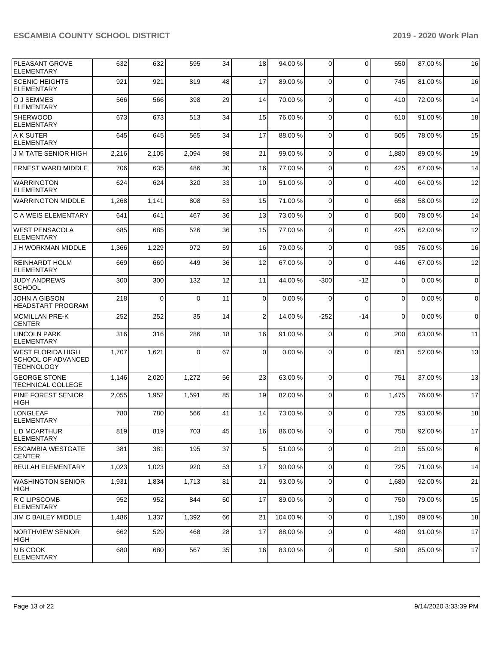| <b>PLEASANT GROVE</b><br><b>ELEMENTARY</b>                          | 632   | 632      | 595      | 34 | 18             | 94.00 % | $\Omega$    | $\Omega$    | 550         | 87.00 % | 16          |
|---------------------------------------------------------------------|-------|----------|----------|----|----------------|---------|-------------|-------------|-------------|---------|-------------|
| <b>SCENIC HEIGHTS</b><br>ELEMENTARY                                 | 921   | 921      | 819      | 48 | 17             | 89.00 % | $\Omega$    | $\Omega$    | 745         | 81.00%  | 16          |
| O J SEMMES<br><b>ELEMENTARY</b>                                     | 566   | 566      | 398      | 29 | 14             | 70.00%  | 0           | $\Omega$    | 410         | 72.00 % | 14          |
| SHERWOOD<br><b>ELEMENTARY</b>                                       | 673   | 673      | 513      | 34 | 15             | 76.00 % | $\Omega$    | $\mathbf 0$ | 610         | 91.00 % | 18          |
| A K SUTER<br><b>ELEMENTARY</b>                                      | 645   | 645      | 565      | 34 | 17             | 88.00%  | $\Omega$    | $\Omega$    | 505         | 78.00 % | 15          |
| <b>JM TATE SENIOR HIGH</b>                                          | 2,216 | 2,105    | 2,094    | 98 | 21             | 99.00 % | 0           | $\Omega$    | 1,880       | 89.00 % | 19          |
| <b>ERNEST WARD MIDDLE</b>                                           | 706   | 635      | 486      | 30 | 16             | 77.00 % | 0           | $\Omega$    | 425         | 67.00 % | 14          |
| <b>WARRINGTON</b><br><b>ELEMENTARY</b>                              | 624   | 624      | 320      | 33 | 10             | 51.00 % | $\mathbf 0$ | $\Omega$    | 400         | 64.00 % | 12          |
| <b>WARRINGTON MIDDLE</b>                                            | 1,268 | 1,141    | 808      | 53 | 15             | 71.00 % | $\Omega$    | $\mathbf 0$ | 658         | 58.00 % | 12          |
| C A WEIS ELEMENTARY                                                 | 641   | 641      | 467      | 36 | 13             | 73.00 % | $\Omega$    | $\Omega$    | 500         | 78.00 % | 14          |
| WEST PENSACOLA<br>ELEMENTARY                                        | 685   | 685      | 526      | 36 | 15             | 77.00 % | $\Omega$    | $\Omega$    | 425         | 62.00 % | 12          |
| J H WORKMAN MIDDLE                                                  | 1,366 | 1,229    | 972      | 59 | 16             | 79.00 % | $\Omega$    | $\Omega$    | 935         | 76.00 % | 16          |
| <b>REINHARDT HOLM</b><br><b>ELEMENTARY</b>                          | 669   | 669      | 449      | 36 | 12             | 67.00 % | $\Omega$    | $\Omega$    | 446         | 67.00 % | 12          |
| <b>JUDY ANDREWS</b><br><b>SCHOOL</b>                                | 300   | 300      | 132      | 12 | 11             | 44.00%  | $-300$      | $-12$       | $\mathbf 0$ | 0.00%   | $\mathbf 0$ |
| <b>JOHN A GIBSON</b><br><b>HEADSTART PROGRAM</b>                    | 218   | $\Omega$ | $\Omega$ | 11 | $\Omega$       | 0.00%   | $\Omega$    | $\mathbf 0$ | $\Omega$    | 0.00%   | $\mathbf 0$ |
| <b>IMCMILLAN PRE-K</b><br><b>CENTER</b>                             | 252   | 252      | 35       | 14 | $\overline{2}$ | 14.00 % | $-252$      | $-14$       | $\Omega$    | 0.00%   | $\mathbf 0$ |
| <b>LINCOLN PARK</b><br><b>ELEMENTARY</b>                            | 316   | 316      | 286      | 18 | 16             | 91.00%  | 0           | $\mathbf 0$ | 200         | 63.00 % | 11          |
| WEST FLORIDA HIGH<br><b>SCHOOL OF ADVANCED</b><br><b>TECHNOLOGY</b> | 1,707 | 1,621    | $\Omega$ | 67 | $\Omega$       | 0.00%   | $\Omega$    | $\Omega$    | 851         | 52.00 % | 13          |
| <b>GEORGE STONE</b><br>TECHNICAL COLLEGE                            | 1,146 | 2,020    | 1,272    | 56 | 23             | 63.00 % | $\Omega$    | $\Omega$    | 751         | 37.00 % | 13          |
| <b>PINE FOREST SENIOR</b><br>HIGH                                   | 2,055 | 1,952    | 1,591    | 85 | 19             | 82.00%  | $\mathbf 0$ | $\mathbf 0$ | 1,475       | 76.00 % | 17          |
| LONGLEAF<br>ELEMENTARY                                              | 780   | 780      | 566      | 41 | 14             | 73.00 % | $\Omega$    | $\Omega$    | 725         | 93.00 % | 18          |
| L D MCARTHUR<br><b>ELEMENTARY</b>                                   | 819   | 819      | 703      | 45 | 16             | 86.00 % | 0           | $\Omega$    | 750         | 92.00 % | 17          |
| ESCAMBIA WESTGATE<br><b>CENTER</b>                                  | 381   | 381      | 195      | 37 | 5              | 51.00 % | $\mathbf 0$ | $\mathbf 0$ | 210         | 55.00 % | 6           |
| <b>BEULAH ELEMENTARY</b>                                            | 1,023 | 1,023    | 920      | 53 | 17             | 90.00 % | $\Omega$    | $\mathbf 0$ | 725         | 71.00 % | 14          |
| <b>WASHINGTON SENIOR</b><br> HIGH                                   | 1,931 | 1,834    | 1,713    | 81 | 21             | 93.00 % | $\mathbf 0$ | $\mathbf 0$ | 1,680       | 92.00 % | 21          |
| R C LIPSCOMB<br><b>ELEMENTARY</b>                                   | 952   | 952      | 844      | 50 | 17             | 89.00 % | 0           | 0           | 750         | 79.00 % | 15          |
| <b>JIM C BAILEY MIDDLE</b>                                          | 1,486 | 1,337    | 1,392    | 66 | 21             | 104.00% | $\mathbf 0$ | $\mathbf 0$ | 1,190       | 89.00 % | 18          |
| NORTHVIEW SENIOR<br>∣HIGH                                           | 662   | 529      | 468      | 28 | 17             | 88.00 % | 0           | $\mathbf 0$ | 480         | 91.00 % | 17          |
| N B COOK<br>ELEMENTARY                                              | 680   | 680      | 567      | 35 | 16             | 83.00%  | 0           | 0           | 580         | 85.00 % | 17          |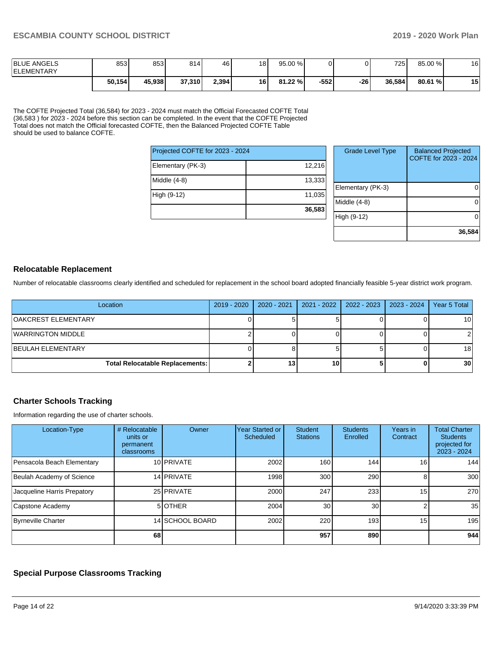| <b>BLUE ANGELS</b><br><b>IELEMENTARY</b> | 853    | 853    | 814 <sup>1</sup> | 46    | 18   | 95.00 % |        |     | 7251   | 85.00 % | 16              |
|------------------------------------------|--------|--------|------------------|-------|------|---------|--------|-----|--------|---------|-----------------|
|                                          | 50,154 | 45,938 | 37,310           | 2,394 | 16 I | 81.22 % | $-552$ | -26 | 36.584 | 80.61 % | <b>45</b><br>IJ |

The COFTE Projected Total (36,584) for 2023 - 2024 must match the Official Forecasted COFTE Total (36,583 ) for 2023 - 2024 before this section can be completed. In the event that the COFTE Projected Total does not match the Official forecasted COFTE, then the Balanced Projected COFTE Table should be used to balance COFTE.

| Projected COFTE for 2023 - 2024 |        |
|---------------------------------|--------|
| Elementary (PK-3)               | 12,216 |
| Middle (4-8)                    | 13,333 |
| High (9-12)                     | 11,035 |
|                                 | 36,583 |

| <b>Grade Level Type</b> | <b>Balanced Projected</b><br>COFTE for 2023 - 2024 |
|-------------------------|----------------------------------------------------|
| Elementary (PK-3)       |                                                    |
| Middle (4-8)            |                                                    |
| High (9-12)             |                                                    |
|                         | 36,584                                             |

### **Relocatable Replacement**

Number of relocatable classrooms clearly identified and scheduled for replacement in the school board adopted financially feasible 5-year district work program.

| Location                               | 2019 - 2020 | 2020 - 2021 | 2021 - 2022 | $2022 - 2023$ | $2023 - 2024$ | Year 5 Total    |
|----------------------------------------|-------------|-------------|-------------|---------------|---------------|-----------------|
| OAKCREST ELEMENTARY                    |             |             |             |               |               | 10              |
| WARRINGTON MIDDLE                      |             |             |             |               |               |                 |
| <b>BEULAH ELEMENTARY</b>               |             |             |             |               |               | 18 <sub>1</sub> |
| <b>Total Relocatable Replacements:</b> |             | 13          | 10          |               |               | 30 <sub>l</sub> |

## **Charter Schools Tracking**

Information regarding the use of charter schools.

| Location-Type               | # Relocatable<br>units or<br>permanent<br>classrooms | Owner           | Year Started or<br>Scheduled | <b>Student</b><br><b>Stations</b> | <b>Students</b><br>Enrolled | Years in<br>Contract | <b>Total Charter</b><br><b>Students</b><br>projected for<br>2023 - 2024 |
|-----------------------------|------------------------------------------------------|-----------------|------------------------------|-----------------------------------|-----------------------------|----------------------|-------------------------------------------------------------------------|
| Pensacola Beach Elementary  |                                                      | 10 PRIVATE      | 2002                         | 160                               | 144                         | 16 <sub>1</sub>      | 144                                                                     |
| Beulah Academy of Science   |                                                      | 14 PRIVATE      | 1998                         | 300                               | 290                         | 8                    | 300                                                                     |
| Jacqueline Harris Prepatory |                                                      | 25 PRIVATE      | 2000                         | 247                               | 233                         | 15 <sub>1</sub>      | 270                                                                     |
| Capstone Academy            |                                                      | 5 OTHER         | 2004                         | 30                                | 30 <sub>l</sub>             |                      | 35                                                                      |
| Byrneville Charter          |                                                      | 14 SCHOOL BOARD | 2002                         | 220                               | 193                         | 15 <sup>1</sup>      | 195                                                                     |
|                             | 68                                                   |                 |                              | 957                               | 890                         |                      | 944                                                                     |

## **Special Purpose Classrooms Tracking**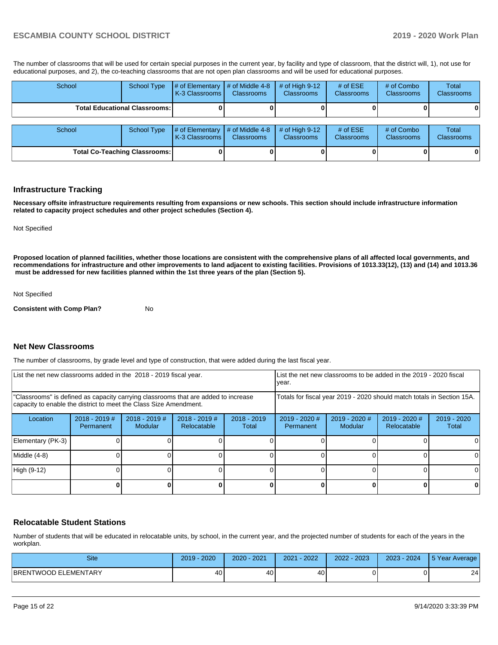The number of classrooms that will be used for certain special purposes in the current year, by facility and type of classroom, that the district will, 1), not use for educational purposes, and 2), the co-teaching classrooms that are not open plan classrooms and will be used for educational purposes.

| School                               | <b>School Type</b>                   | # of Elementary<br>K-3 Classrooms I | $#$ of Middle 4-8<br><b>Classrooms</b>  | # of High $9-12$<br><b>Classrooms</b> | # of $ESE$<br><b>Classrooms</b> | # of Combo<br><b>Classrooms</b> | <b>Total</b><br>Classrooms |
|--------------------------------------|--------------------------------------|-------------------------------------|-----------------------------------------|---------------------------------------|---------------------------------|---------------------------------|----------------------------|
|                                      | <b>Total Educational Classrooms:</b> |                                     |                                         |                                       |                                 |                                 |                            |
| School                               | <b>School Type</b>                   | # of Elementary<br>K-3 Classrooms I | $\#$ of Middle 4-8<br><b>Classrooms</b> | # of High $9-12$<br><b>Classrooms</b> | # of $ESE$<br><b>Classrooms</b> | # of Combo<br><b>Classrooms</b> | Total<br>Classrooms        |
| <b>Total Co-Teaching Classrooms:</b> |                                      |                                     |                                         |                                       |                                 |                                 | 0                          |

#### **Infrastructure Tracking**

**Necessary offsite infrastructure requirements resulting from expansions or new schools. This section should include infrastructure information related to capacity project schedules and other project schedules (Section 4).** 

Not Specified

**Proposed location of planned facilities, whether those locations are consistent with the comprehensive plans of all affected local governments, and recommendations for infrastructure and other improvements to land adjacent to existing facilities. Provisions of 1013.33(12), (13) and (14) and 1013.36 must be addressed for new facilities planned within the 1st three years of the plan (Section 5).** 

Not Specified

**Consistent with Comp Plan?** No

#### **Net New Classrooms**

The number of classrooms, by grade level and type of construction, that were added during the last fiscal year.

| List the net new classrooms added in the 2018 - 2019 fiscal year.                                                                                       |                              |                                   |                                | year.                                                                  | List the net new classrooms to be added in the 2019 - 2020 fiscal |                                 |                              |                      |
|---------------------------------------------------------------------------------------------------------------------------------------------------------|------------------------------|-----------------------------------|--------------------------------|------------------------------------------------------------------------|-------------------------------------------------------------------|---------------------------------|------------------------------|----------------------|
| "Classrooms" is defined as capacity carrying classrooms that are added to increase<br>capacity to enable the district to meet the Class Size Amendment. |                              |                                   |                                | Totals for fiscal year 2019 - 2020 should match totals in Section 15A. |                                                                   |                                 |                              |                      |
| Location                                                                                                                                                | $2018 - 2019$ #<br>Permanent | $2018 - 2019$ #<br><b>Modular</b> | $2018 - 2019$ #<br>Relocatable | $2018 - 2019$<br>Total                                                 | $2019 - 2020$ #<br><b>Permanent</b>                               | 2019 - 2020 #<br><b>Modular</b> | 2019 - 2020 #<br>Relocatable | 2019 - 2020<br>Total |
| Elementary (PK-3)                                                                                                                                       |                              |                                   |                                |                                                                        |                                                                   |                                 |                              |                      |
| Middle (4-8)                                                                                                                                            |                              |                                   |                                |                                                                        |                                                                   |                                 |                              | ΩI                   |
| High (9-12)                                                                                                                                             |                              |                                   |                                |                                                                        |                                                                   |                                 |                              |                      |
|                                                                                                                                                         |                              |                                   |                                |                                                                        |                                                                   |                                 |                              | 0                    |

### **Relocatable Student Stations**

Number of students that will be educated in relocatable units, by school, in the current year, and the projected number of students for each of the years in the workplan.

| <b>Site</b>                 | $-2020$<br>2019 | $-2021$<br>$2020 -$ | $-2022$<br>2021 | $-2023$<br>2022 | 2023 - 2024 | 5 Year Average |
|-----------------------------|-----------------|---------------------|-----------------|-----------------|-------------|----------------|
| <b>BRENTWOOD ELEMENTARY</b> | 40              | 40                  | 40              |                 |             | 24             |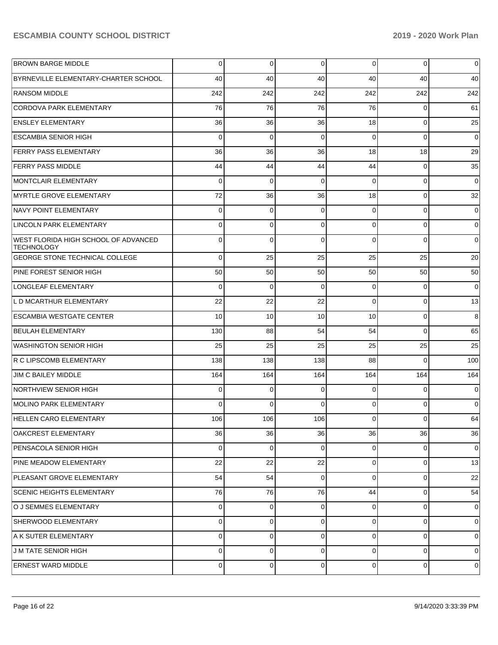| <b>BROWN BARGE MIDDLE</b>                                 | 0           | 0           | 0        | $\overline{0}$ | 0              | 0           |
|-----------------------------------------------------------|-------------|-------------|----------|----------------|----------------|-------------|
| BYRNEVILLE ELEMENTARY-CHARTER SCHOOL                      | 40          | 40          | 40       | 40             | 40             | 40          |
| <b>RANSOM MIDDLE</b>                                      | 242         | 242         | 242      | 242            | 242            | 242         |
| CORDOVA PARK ELEMENTARY                                   | 76          | 76          | 76       | 76             | 0              | 61          |
| <b>ENSLEY ELEMENTARY</b>                                  | 36          | 36          | 36       | 18             | 0              | 25          |
| <b>ESCAMBIA SENIOR HIGH</b>                               | $\Omega$    | $\mathbf 0$ | 0        | $\overline{0}$ | 0              | $\mathbf 0$ |
| <b>FERRY PASS ELEMENTARY</b>                              | 36          | 36          | 36       | 18             | 18             | 29          |
| <b>FERRY PASS MIDDLE</b>                                  | 44          | 44          | 44       | 44             | 0              | 35          |
| MONTCLAIR ELEMENTARY                                      | 0           | 0           | 0        | $\Omega$       | 0              | $\mathbf 0$ |
| MYRTLE GROVE ELEMENTARY                                   | 72          | 36          | 36       | 18             | 0              | 32          |
| NAVY POINT ELEMENTARY                                     | 0           | 0           | 0        | $\Omega$       | 0              | 0           |
| LINCOLN PARK ELEMENTARY                                   | 0           | 0           | 0        | $\Omega$       | 0              | 0           |
| WEST FLORIDA HIGH SCHOOL OF ADVANCED<br><b>TECHNOLOGY</b> | 0           | $\mathbf 0$ | 0        | $\Omega$       | $\Omega$       | 0           |
| <b>GEORGE STONE TECHNICAL COLLEGE</b>                     | $\Omega$    | 25          | 25       | 25             | 25             | 20          |
| PINE FOREST SENIOR HIGH                                   | 50          | 50          | 50       | 50             | 50             | 50          |
| LONGLEAF ELEMENTARY                                       | 0           | 0           | $\Omega$ | $\Omega$       | 0              | $\mathbf 0$ |
| L D MCARTHUR ELEMENTARY                                   | 22          | 22          | 22       | $\Omega$       | 0              | 13          |
| <b>ESCAMBIA WESTGATE CENTER</b>                           | 10          | 10          | 10       | 10             | 0              | 8           |
| <b>BEULAH ELEMENTARY</b>                                  | 130         | 88          | 54       | 54             | $\Omega$       | 65          |
| WASHINGTON SENIOR HIGH                                    | 25          | 25          | 25       | 25             | 25             | 25          |
| R C LIPSCOMB ELEMENTARY                                   | 138         | 138         | 138      | 88             | 0              | 100         |
| JIM C BAILEY MIDDLE                                       | 164         | 164         | 164      | 164            | 164            | 164         |
| NORTHVIEW SENIOR HIGH                                     | 0           | $\mathbf 0$ | $\Omega$ | $\Omega$       | 0              | 0           |
| MOLINO PARK ELEMENTARY                                    | 0           | $\Omega$    | $\Omega$ | $\Omega$       | 0              | 0           |
| <b>HELLEN CARO ELEMENTARY</b>                             | 106         | 106         | 106      | $\overline{0}$ | $\overline{0}$ | 64          |
| OAKCREST ELEMENTARY                                       | 36          | 36          | 36       | 36             | 36             | 36          |
| PENSACOLA SENIOR HIGH                                     | $\mathbf 0$ | $\mathbf 0$ | 0        | $\overline{0}$ | $\overline{0}$ | $\mathbf 0$ |
| PINE MEADOW ELEMENTARY                                    | 22          | 22          | 22       | $\overline{0}$ | 0              | 13          |
| PLEASANT GROVE ELEMENTARY                                 | 54          | 54          | $\Omega$ | $\Omega$       | $\overline{0}$ | 22          |
| <b>SCENIC HEIGHTS ELEMENTARY</b>                          | 76          | 76          | 76       | 44             | $\overline{0}$ | 54          |
| O J SEMMES ELEMENTARY                                     | 0           | 0           | 0        | $\overline{0}$ | $\overline{0}$ | 0           |
| SHERWOOD ELEMENTARY                                       | 0           | $\mathbf 0$ | $\Omega$ | $\overline{0}$ | 0              | $\mathbf 0$ |
| A K SUTER ELEMENTARY                                      | 0           | $\mathbf 0$ | $\Omega$ | $\Omega$       | 0              | $\mathbf 0$ |
| <b>J M TATE SENIOR HIGH</b>                               | 0           | 0           | 0        | $\Omega$       | 0              | 0           |
| <b>ERNEST WARD MIDDLE</b>                                 | 0           | 0           | 0        | $\overline{0}$ | $\overline{0}$ | 0           |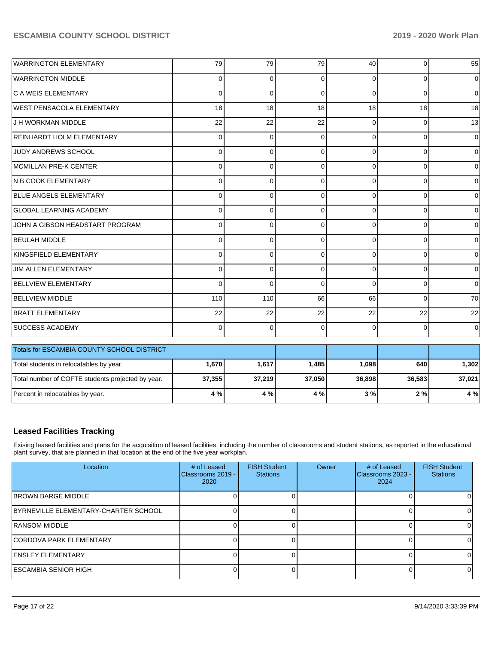| <b>WARRINGTON ELEMENTARY</b>                      | 79       | 79       | 79          | 40       | $\mathbf 0$ | 55          |  |  |  |  |  |
|---------------------------------------------------|----------|----------|-------------|----------|-------------|-------------|--|--|--|--|--|
| <b>WARRINGTON MIDDLE</b>                          | 0        | 0        | 0           | 0        | $\Omega$    | 0           |  |  |  |  |  |
| C A WEIS ELEMENTARY                               | $\Omega$ | $\Omega$ | $\Omega$    | $\Omega$ | $\Omega$    | $\Omega$    |  |  |  |  |  |
| <b>WEST PENSACOLA ELEMENTARY</b>                  | 18       | 18       | 18          | 18       | 18          | 18          |  |  |  |  |  |
| J H WORKMAN MIDDLE                                | 22       | 22       | 22          | 0        | $\Omega$    | 13          |  |  |  |  |  |
| REINHARDT HOLM ELEMENTARY                         | $\Omega$ | $\Omega$ | $\Omega$    | 0        | $\Omega$    | $\Omega$    |  |  |  |  |  |
| <b>JUDY ANDREWS SCHOOL</b>                        | 0        | 0        | $\Omega$    | 0        | $\Omega$    | $\Omega$    |  |  |  |  |  |
| MCMILLAN PRE-K CENTER                             | $\Omega$ | $\Omega$ | $\Omega$    | $\Omega$ | $\Omega$    | $\Omega$    |  |  |  |  |  |
| N B COOK ELEMENTARY                               | $\Omega$ | $\Omega$ | $\Omega$    | $\Omega$ | $\Omega$    | 0           |  |  |  |  |  |
| <b>BLUE ANGELS ELEMENTARY</b>                     | 0        | 0        | 0           | 0        | $\Omega$    | $\Omega$    |  |  |  |  |  |
| <b>GLOBAL LEARNING ACADEMY</b>                    | $\Omega$ | $\Omega$ | $\Omega$    | $\Omega$ | $\Omega$    | 0           |  |  |  |  |  |
| JOHN A GIBSON HEADSTART PROGRAM                   | 0        | 0        | $\Omega$    | 0        | $\Omega$    | 0           |  |  |  |  |  |
| <b>BEULAH MIDDLE</b>                              | $\Omega$ | $\Omega$ | $\Omega$    | $\Omega$ | $\Omega$    | $\Omega$    |  |  |  |  |  |
| KINGSFIELD ELEMENTARY                             | $\Omega$ | $\Omega$ | $\Omega$    | $\Omega$ | $\Omega$    | $\mathbf 0$ |  |  |  |  |  |
| <b>JIM ALLEN ELEMENTARY</b>                       | 0        | 0        | $\mathbf 0$ | 0        | $\Omega$    | $\mathbf 0$ |  |  |  |  |  |
| <b>BELLVIEW ELEMENTARY</b>                        | $\Omega$ | $\Omega$ | $\Omega$    | 0        | $\Omega$    | $\Omega$    |  |  |  |  |  |
| <b>BELLVIEW MIDDLE</b>                            | 110      | 110      | 66          | 66       | $\Omega$    | 70          |  |  |  |  |  |
| <b>BRATT ELEMENTARY</b>                           | 22       | 22       | 22          | 22       | 22          | 22          |  |  |  |  |  |
| <b>SUCCESS ACADEMY</b>                            | $\Omega$ | $\Omega$ | $\Omega$    | $\Omega$ | $\Omega$    | $\mathbf 0$ |  |  |  |  |  |
| Totals for ESCAMBIA COUNTY SCHOOL DISTRICT        |          |          |             |          |             |             |  |  |  |  |  |
|                                                   |          |          |             |          |             |             |  |  |  |  |  |
| Total students in relocatables by year.           | 1,670    | 1,617    | 1,485       | 1,098    | 640         | 1,302       |  |  |  |  |  |
| Total number of COFTE students projected by year. | 37,355   | 37,219   | 37,050      | 36,898   | 36,583      | 37,021      |  |  |  |  |  |
| Percent in relocatables by year.                  | 4 %      | 4 %      | 4 %         | 3%       | 2%          | 4 %         |  |  |  |  |  |

## **Leased Facilities Tracking**

Exising leased facilities and plans for the acquisition of leased facilities, including the number of classrooms and student stations, as reported in the educational plant survey, that are planned in that location at the end of the five year workplan.

| Location                             | # of Leased<br>IClassrooms 2019 -<br>2020 | <b>FISH Student</b><br><b>Stations</b> | Owner | # of Leased<br>Classrooms 2023 -<br>2024 | <b>FISH Student</b><br><b>Stations</b> |
|--------------------------------------|-------------------------------------------|----------------------------------------|-------|------------------------------------------|----------------------------------------|
| <b>BROWN BARGE MIDDLE</b>            |                                           |                                        |       |                                          |                                        |
| BYRNEVILLE ELEMENTARY-CHARTER SCHOOL |                                           |                                        |       |                                          |                                        |
| <b>RANSOM MIDDLE</b>                 |                                           |                                        |       |                                          |                                        |
| <b>ICORDOVA PARK ELEMENTARY</b>      |                                           |                                        |       |                                          |                                        |
| <b>IENSLEY ELEMENTARY</b>            |                                           |                                        |       |                                          |                                        |
| <b>ESCAMBIA SENIOR HIGH</b>          |                                           |                                        |       |                                          |                                        |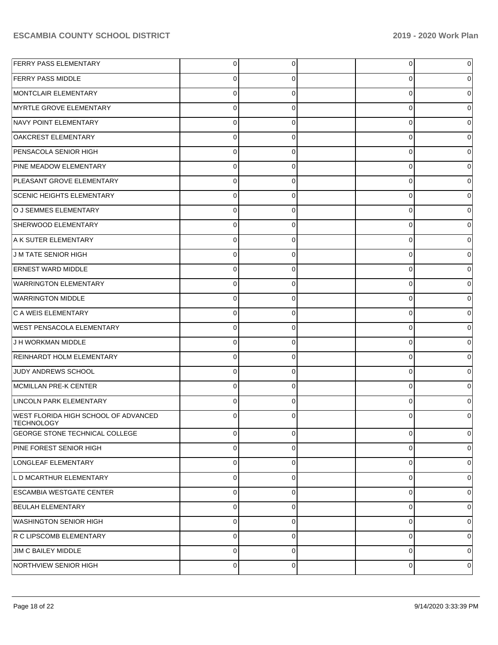| <b>FERRY PASS ELEMENTARY</b>                              | $\overline{0}$ | 0        | $\overline{0}$ | 0 |
|-----------------------------------------------------------|----------------|----------|----------------|---|
| <b>FERRY PASS MIDDLE</b>                                  | $\Omega$       | 0        | 0              | 0 |
| MONTCLAIR ELEMENTARY                                      | $\mathbf 0$    | $\Omega$ | 0              | 0 |
| MYRTLE GROVE ELEMENTARY                                   | $\Omega$       | 0        | 0              | 0 |
| NAVY POINT ELEMENTARY                                     | $\mathbf 0$    | $\Omega$ | 0              | 0 |
| OAKCREST ELEMENTARY                                       | $\mathbf 0$    | 0        | 0              | 0 |
| PENSACOLA SENIOR HIGH                                     | $\mathbf 0$    | $\Omega$ | 0              | 0 |
| PINE MEADOW ELEMENTARY                                    | $\mathbf 0$    | 0        | 0              | 0 |
| PLEASANT GROVE ELEMENTARY                                 | $\mathbf 0$    | $\Omega$ | 0              | 0 |
| <b>SCENIC HEIGHTS ELEMENTARY</b>                          | $\Omega$       | 0        | 0              | 0 |
| O J SEMMES ELEMENTARY                                     | $\Omega$       | $\Omega$ | 0              | 0 |
| SHERWOOD ELEMENTARY                                       | $\mathbf 0$    | 0        | 0              | 0 |
| A K SUTER ELEMENTARY                                      | $\mathbf 0$    | $\Omega$ | 0              | 0 |
| J M TATE SENIOR HIGH                                      | $\mathbf 0$    | 0        | 0              | 0 |
| <b>ERNEST WARD MIDDLE</b>                                 | $\Omega$       | $\Omega$ | 0              | 0 |
| <b>WARRINGTON ELEMENTARY</b>                              | $\Omega$       | 0        | 0              | 0 |
| <b>WARRINGTON MIDDLE</b>                                  | $\Omega$       | $\Omega$ | 0              | 0 |
| C A WEIS ELEMENTARY                                       | $\mathbf 0$    | $\Omega$ | 0              | 0 |
| <b>WEST PENSACOLA ELEMENTARY</b>                          | $\mathbf 0$    | $\Omega$ | 0              | 0 |
| J H WORKMAN MIDDLE                                        | $\mathbf 0$    | $\Omega$ | 0              | 0 |
| <b>REINHARDT HOLM ELEMENTARY</b>                          | $\Omega$       | $\Omega$ | 0              | 0 |
| JUDY ANDREWS SCHOOL                                       | $\Omega$       | $\Omega$ | 0              | 0 |
| MCMILLAN PRE-K CENTER                                     | $\Omega$       | $\Omega$ | 0              | 0 |
| LINCOLN PARK ELEMENTARY                                   | $\Omega$       | 0        | 0              | 0 |
| WEST FLORIDA HIGH SCHOOL OF ADVANCED<br><b>TECHNOLOGY</b> | $\Omega$       |          | U              | 0 |
| <b>GEORGE STONE TECHNICAL COLLEGE</b>                     | $\mathbf 0$    | $\Omega$ | $\mathbf 0$    | 0 |
| PINE FOREST SENIOR HIGH                                   | $\overline{0}$ | $\Omega$ | $\mathbf 0$    | 0 |
| LONGLEAF ELEMENTARY                                       | $\mathbf 0$    | $\Omega$ | $\mathbf 0$    | 0 |
| L D MCARTHUR ELEMENTARY                                   | $\overline{0}$ | $\Omega$ | $\mathbf 0$    | 0 |
| <b>ESCAMBIA WESTGATE CENTER</b>                           | $\overline{0}$ | $\Omega$ | $\mathbf 0$    | 0 |
| <b>BEULAH ELEMENTARY</b>                                  | $\overline{0}$ | $\Omega$ | $\mathbf 0$    | 0 |
| <b>WASHINGTON SENIOR HIGH</b>                             | $\overline{0}$ | $\Omega$ | $\mathbf 0$    | 0 |
| R C LIPSCOMB ELEMENTARY                                   | $\overline{0}$ | $\Omega$ | $\mathbf 0$    | 0 |
| JIM C BAILEY MIDDLE                                       | $\overline{0}$ | $\Omega$ | $\mathbf 0$    | 0 |
| NORTHVIEW SENIOR HIGH                                     | $\overline{0}$ | 0        | 0              | 0 |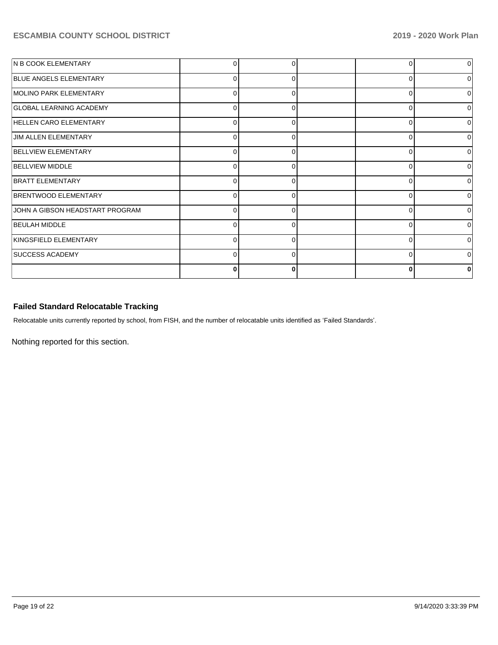| N B COOK ELEMENTARY             |          |   | 0        |              |
|---------------------------------|----------|---|----------|--------------|
| <b>BLUE ANGELS ELEMENTARY</b>   | $\Omega$ | ∩ | $\Omega$ | ∩            |
| MOLINO PARK ELEMENTARY          | 0        | 0 | 0        |              |
| <b>GLOBAL LEARNING ACADEMY</b>  | $\Omega$ | O | $\Omega$ | <sup>0</sup> |
| <b>HELLEN CARO ELEMENTARY</b>   | 0        | 0 | 0        |              |
| <b>JIM ALLEN ELEMENTARY</b>     | $\Omega$ | ∩ | $\Omega$ | ∩            |
| <b>BELLVIEW ELEMENTARY</b>      | 0        |   | $\Omega$ |              |
| <b>BELLVIEW MIDDLE</b>          | 0        | ∩ | $\Omega$ | n            |
| <b>BRATT ELEMENTARY</b>         | 0        |   | $\Omega$ |              |
| BRENTWOOD ELEMENTARY            | 0        | O | $\Omega$ |              |
| JOHN A GIBSON HEADSTART PROGRAM | $\Omega$ |   | $\Omega$ |              |
| <b>BEULAH MIDDLE</b>            | 0        | ∩ | 0        |              |
| KINGSFIELD ELEMENTARY           | ∩        |   | $\Omega$ |              |
| <b>SUCCESS ACADEMY</b>          | 0        | ∩ | 0        |              |
|                                 | Ω        |   | $\bf{0}$ |              |

## **Failed Standard Relocatable Tracking**

Relocatable units currently reported by school, from FISH, and the number of relocatable units identified as 'Failed Standards'.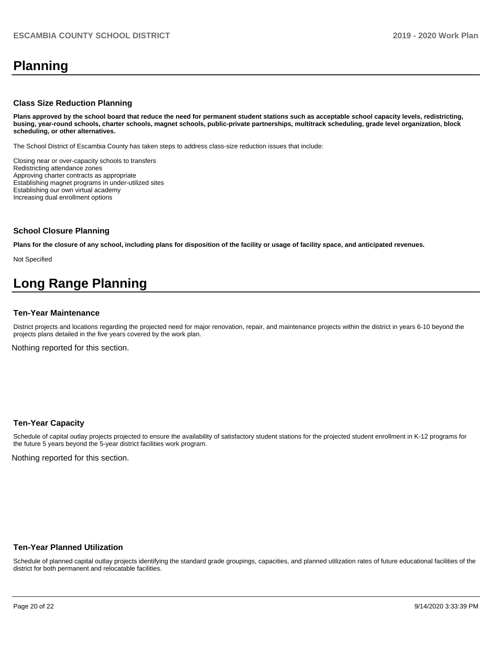# **Planning**

#### **Class Size Reduction Planning**

**Plans approved by the school board that reduce the need for permanent student stations such as acceptable school capacity levels, redistricting, busing, year-round schools, charter schools, magnet schools, public-private partnerships, multitrack scheduling, grade level organization, block scheduling, or other alternatives.**

The School District of Escambia County has taken steps to address class-size reduction issues that include:

Closing near or over-capacity schools to transfers Redistricting attendance zones Approving charter contracts as appropriate Establishing magnet programs in under-utilized sites Establishing our own virtual academy Increasing dual enrollment options

#### **School Closure Planning**

**Plans for the closure of any school, including plans for disposition of the facility or usage of facility space, and anticipated revenues.** 

Not Specified

# **Long Range Planning**

#### **Ten-Year Maintenance**

District projects and locations regarding the projected need for major renovation, repair, and maintenance projects within the district in years 6-10 beyond the projects plans detailed in the five years covered by the work plan.

Nothing reported for this section.

#### **Ten-Year Capacity**

Schedule of capital outlay projects projected to ensure the availability of satisfactory student stations for the projected student enrollment in K-12 programs for the future 5 years beyond the 5-year district facilities work program.

Nothing reported for this section.

#### **Ten-Year Planned Utilization**

Schedule of planned capital outlay projects identifying the standard grade groupings, capacities, and planned utilization rates of future educational facilities of the district for both permanent and relocatable facilities.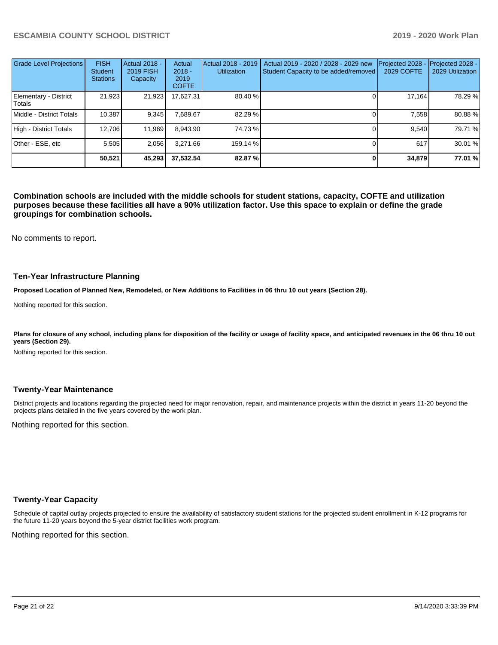| <b>Grade Level Projections</b>  | <b>FISH</b><br><b>Student</b><br><b>Stations</b> | <b>Actual 2018 -</b><br>2019 FISH<br>Capacity | Actual<br>$2018 -$<br>2019<br><b>COFTE</b> | Actual 2018 - 2019<br><b>Utilization</b> | Actual 2019 - 2020 / 2028 - 2029 new<br>Student Capacity to be added/removed | Projected 2028<br><b>2029 COFTE</b> | Projected 2028 -<br>2029 Utilization |
|---------------------------------|--------------------------------------------------|-----------------------------------------------|--------------------------------------------|------------------------------------------|------------------------------------------------------------------------------|-------------------------------------|--------------------------------------|
| Elementary - District<br>Totals | 21,923                                           | 21,923                                        | 17.627.31                                  | 80.40 %                                  |                                                                              | 17,164                              | 78.29 %                              |
| Middle - District Totals        | 10.387                                           | 9,345                                         | 7,689.67                                   | 82.29 %                                  |                                                                              | 7,558                               | 80.88%                               |
| High - District Totals          | 12,706                                           | 11,969                                        | 8,943.90                                   | 74.73%                                   |                                                                              | 9.540                               | 79.71 %                              |
| Other - ESE, etc                | 5.505                                            | 2.056                                         | 3.271.66                                   | 159.14 %                                 |                                                                              | 617                                 | 30.01%                               |
|                                 | 50,521                                           | 45,293                                        | 37,532.54                                  | 82.87%                                   |                                                                              | 34,879                              | 77.01 %                              |

**Combination schools are included with the middle schools for student stations, capacity, COFTE and utilization purposes because these facilities all have a 90% utilization factor. Use this space to explain or define the grade groupings for combination schools.** 

No comments to report.

#### **Ten-Year Infrastructure Planning**

**Proposed Location of Planned New, Remodeled, or New Additions to Facilities in 06 thru 10 out years (Section 28).**

Nothing reported for this section.

Plans for closure of any school, including plans for disposition of the facility or usage of facility space, and anticipated revenues in the 06 thru 10 out **years (Section 29).**

Nothing reported for this section.

#### **Twenty-Year Maintenance**

District projects and locations regarding the projected need for major renovation, repair, and maintenance projects within the district in years 11-20 beyond the projects plans detailed in the five years covered by the work plan.

Nothing reported for this section.

## **Twenty-Year Capacity**

Schedule of capital outlay projects projected to ensure the availability of satisfactory student stations for the projected student enrollment in K-12 programs for the future 11-20 years beyond the 5-year district facilities work program.